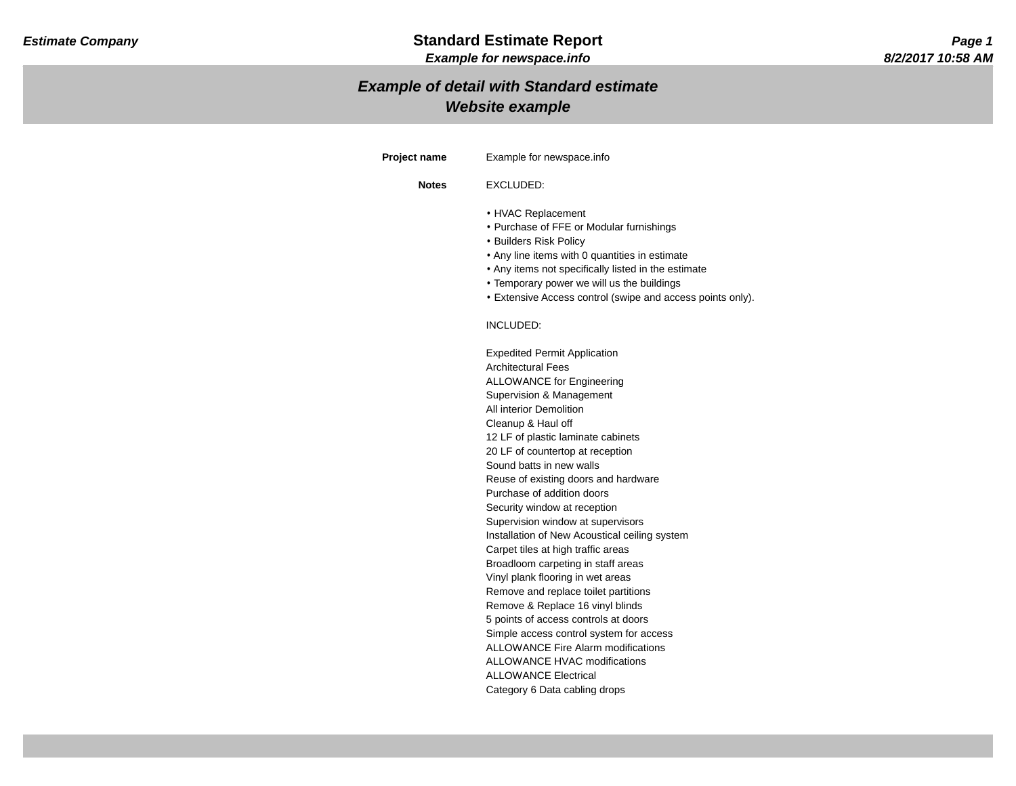# *Example of detail with Standard estimate Website example*

| <b>Project name</b> | Example for newspace.info                                                                                                                                                                                                                                                                                                                                                                                                                                                           |
|---------------------|-------------------------------------------------------------------------------------------------------------------------------------------------------------------------------------------------------------------------------------------------------------------------------------------------------------------------------------------------------------------------------------------------------------------------------------------------------------------------------------|
| <b>Notes</b>        | EXCLUDED:                                                                                                                                                                                                                                                                                                                                                                                                                                                                           |
|                     | • HVAC Replacement<br>• Purchase of FFE or Modular furnishings<br>• Builders Risk Policy<br>• Any line items with 0 quantities in estimate<br>• Any items not specifically listed in the estimate<br>• Temporary power we will us the buildings<br>• Extensive Access control (swipe and access points only).                                                                                                                                                                       |
|                     | INCLUDED:                                                                                                                                                                                                                                                                                                                                                                                                                                                                           |
|                     | <b>Expedited Permit Application</b><br><b>Architectural Fees</b><br><b>ALLOWANCE for Engineering</b><br>Supervision & Management<br>All interior Demolition<br>Cleanup & Haul off<br>12 LF of plastic laminate cabinets<br>20 LF of countertop at reception<br>Sound batts in new walls<br>Reuse of existing doors and hardware<br>Purchase of addition doors<br>Security window at reception<br>Supervision window at supervisors<br>Installation of New Acoustical ceiling system |
|                     | Carpet tiles at high traffic areas<br>Broadloom carpeting in staff areas<br>Vinyl plank flooring in wet areas<br>Remove and replace toilet partitions<br>Remove & Replace 16 vinyl blinds<br>5 points of access controls at doors<br>Simple access control system for access<br><b>ALLOWANCE Fire Alarm modifications</b>                                                                                                                                                           |
|                     | <b>ALLOWANCE HVAC modifications</b><br><b>ALLOWANCE Electrical</b><br>Category 6 Data cabling drops                                                                                                                                                                                                                                                                                                                                                                                 |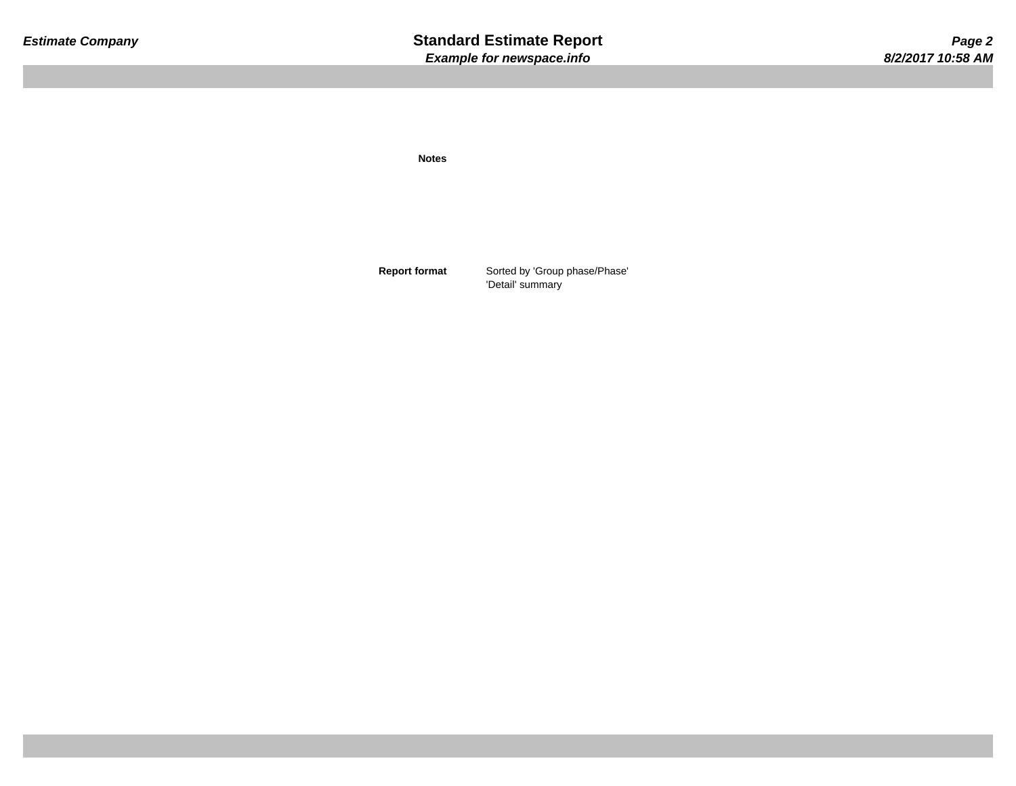**Notes**

**Report format** Sorted by 'Group phase/Phase' 'Detail' summary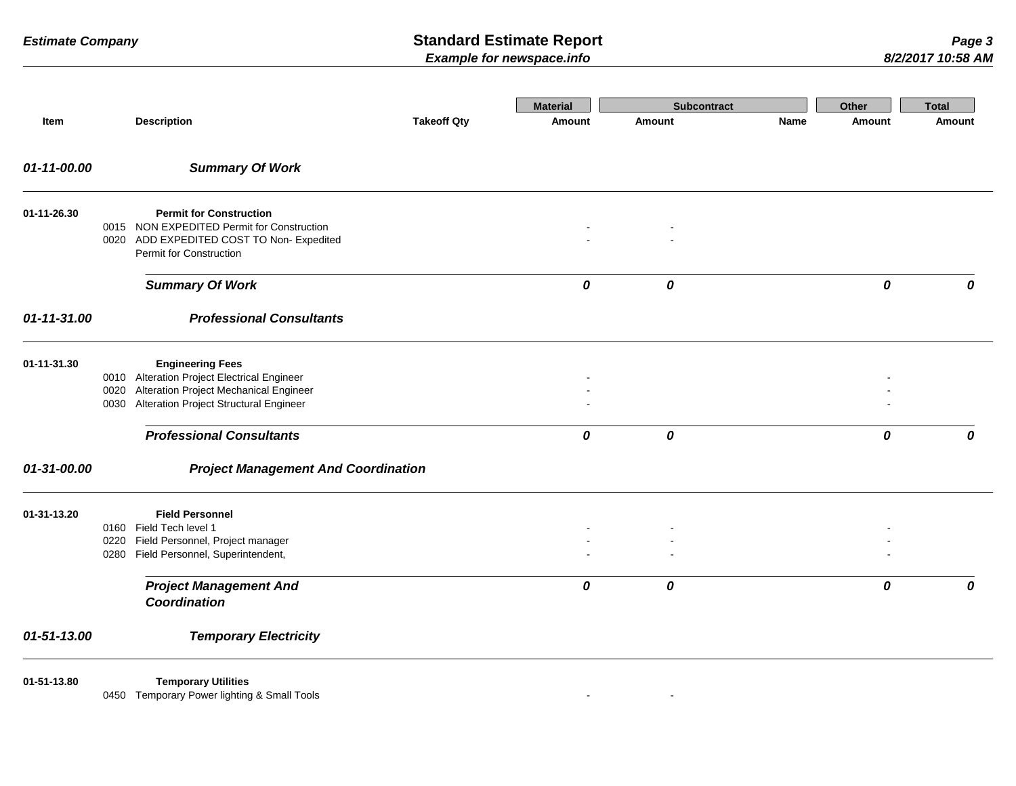|             |              |                                                                                                                                                                                                      |                    | <b>Material</b> | Subcontract |      | Other            | <b>Total</b> |
|-------------|--------------|------------------------------------------------------------------------------------------------------------------------------------------------------------------------------------------------------|--------------------|-----------------|-------------|------|------------------|--------------|
| Item        |              | <b>Description</b>                                                                                                                                                                                   | <b>Takeoff Qty</b> | <b>Amount</b>   | Amount      | Name | <b>Amount</b>    | Amount       |
| 01-11-00.00 |              | <b>Summary Of Work</b>                                                                                                                                                                               |                    |                 |             |      |                  |              |
| 01-11-26.30 |              | <b>Permit for Construction</b><br>0015 NON EXPEDITED Permit for Construction<br>0020 ADD EXPEDITED COST TO Non- Expedited<br>Permit for Construction                                                 |                    |                 |             |      |                  |              |
|             |              | <b>Summary Of Work</b>                                                                                                                                                                               |                    | 0               | 0           |      | 0                | 0            |
| 01-11-31.00 |              | <b>Professional Consultants</b>                                                                                                                                                                      |                    |                 |             |      |                  |              |
| 01-11-31.30 | 0020<br>0030 | <b>Engineering Fees</b><br>0010 Alteration Project Electrical Engineer<br>Alteration Project Mechanical Engineer<br><b>Alteration Project Structural Engineer</b><br><b>Professional Consultants</b> |                    | 0               | 0           |      | $\boldsymbol{o}$ | 0            |
| 01-31-00.00 |              | <b>Project Management And Coordination</b>                                                                                                                                                           |                    |                 |             |      |                  |              |
| 01-31-13.20 | 0220         | <b>Field Personnel</b><br>0160 Field Tech level 1<br>Field Personnel, Project manager<br>0280 Field Personnel, Superintendent,                                                                       |                    |                 |             |      |                  |              |
|             |              | <b>Project Management And</b><br>Coordination                                                                                                                                                        |                    | 0               | 0           |      | 0                | $\Omega$     |
| 01-51-13.00 |              | <b>Temporary Electricity</b>                                                                                                                                                                         |                    |                 |             |      |                  |              |
| 01-51-13.80 |              | <b>Temporary Utilities</b><br>0450 Temporary Power lighting & Small Tools                                                                                                                            |                    | $\blacksquare$  |             |      |                  |              |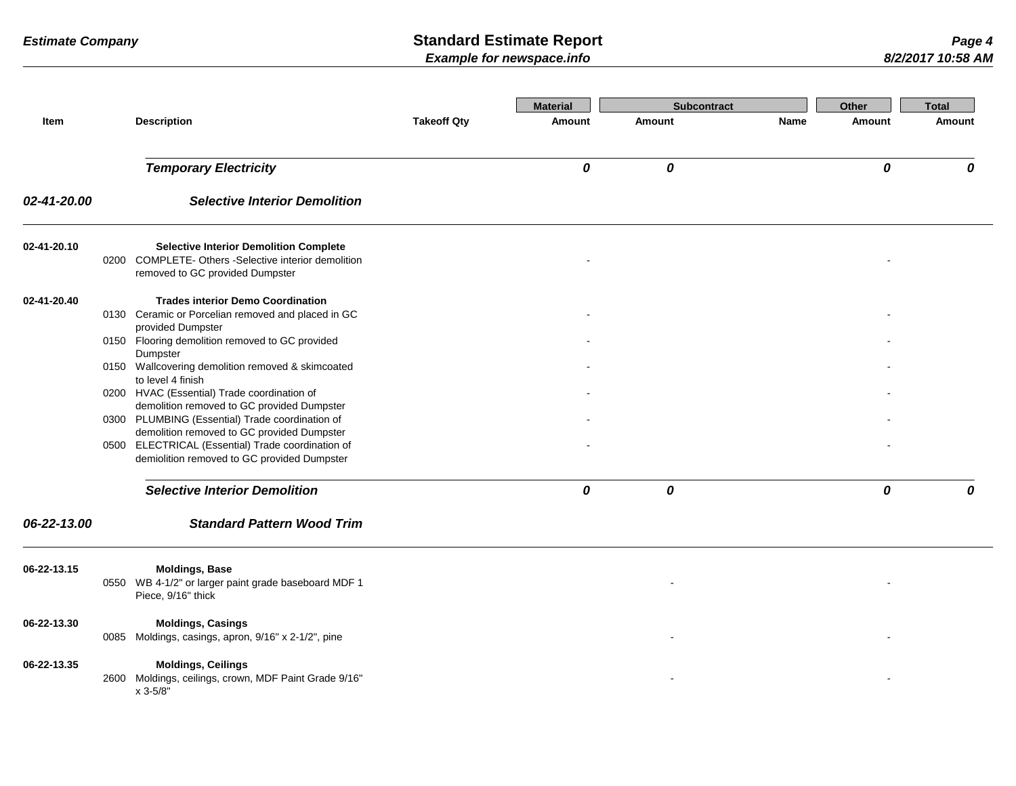| Item        | <b>Description</b>                                                                                                                                                                               | <b>Takeoff Qty</b> | <b>Material</b><br>Amount | <b>Subcontract</b><br><b>Amount</b> | Name | Other<br>Amount | <b>Total</b><br><b>Amount</b> |
|-------------|--------------------------------------------------------------------------------------------------------------------------------------------------------------------------------------------------|--------------------|---------------------------|-------------------------------------|------|-----------------|-------------------------------|
|             | <b>Temporary Electricity</b>                                                                                                                                                                     |                    | 0                         | 0                                   |      | 0               | 0                             |
| 02-41-20.00 | <b>Selective Interior Demolition</b>                                                                                                                                                             |                    |                           |                                     |      |                 |                               |
| 02-41-20.10 | <b>Selective Interior Demolition Complete</b><br>0200 COMPLETE- Others -Selective interior demolition<br>removed to GC provided Dumpster                                                         |                    |                           |                                     |      |                 |                               |
| 02-41-20.40 | <b>Trades interior Demo Coordination</b><br>0130 Ceramic or Porcelian removed and placed in GC<br>provided Dumpster<br>0150 Flooring demolition removed to GC provided                           |                    |                           |                                     |      |                 |                               |
|             | Dumpster<br>0150 Wallcovering demolition removed & skimcoated<br>to level 4 finish<br>0200 HVAC (Essential) Trade coordination of                                                                |                    |                           |                                     |      |                 |                               |
|             | demolition removed to GC provided Dumpster<br>0300 PLUMBING (Essential) Trade coordination of<br>demolition removed to GC provided Dumpster<br>0500 ELECTRICAL (Essential) Trade coordination of |                    |                           |                                     |      |                 |                               |
|             | demiolition removed to GC provided Dumpster                                                                                                                                                      |                    |                           |                                     |      |                 |                               |
|             | <b>Selective Interior Demolition</b>                                                                                                                                                             |                    | 0                         | 0                                   |      | 0               | 0                             |
| 06-22-13.00 | <b>Standard Pattern Wood Trim</b>                                                                                                                                                                |                    |                           |                                     |      |                 |                               |
| 06-22-13.15 | <b>Moldings, Base</b><br>0550 WB 4-1/2" or larger paint grade baseboard MDF 1<br>Piece, 9/16" thick                                                                                              |                    |                           |                                     |      |                 |                               |
| 06-22-13.30 | <b>Moldings, Casings</b><br>0085 Moldings, casings, apron, 9/16" x 2-1/2", pine                                                                                                                  |                    |                           |                                     |      |                 |                               |
| 06-22-13.35 | <b>Moldings, Ceilings</b><br>2600 Moldings, ceilings, crown, MDF Paint Grade 9/16"<br>x 3-5/8"                                                                                                   |                    |                           |                                     |      |                 |                               |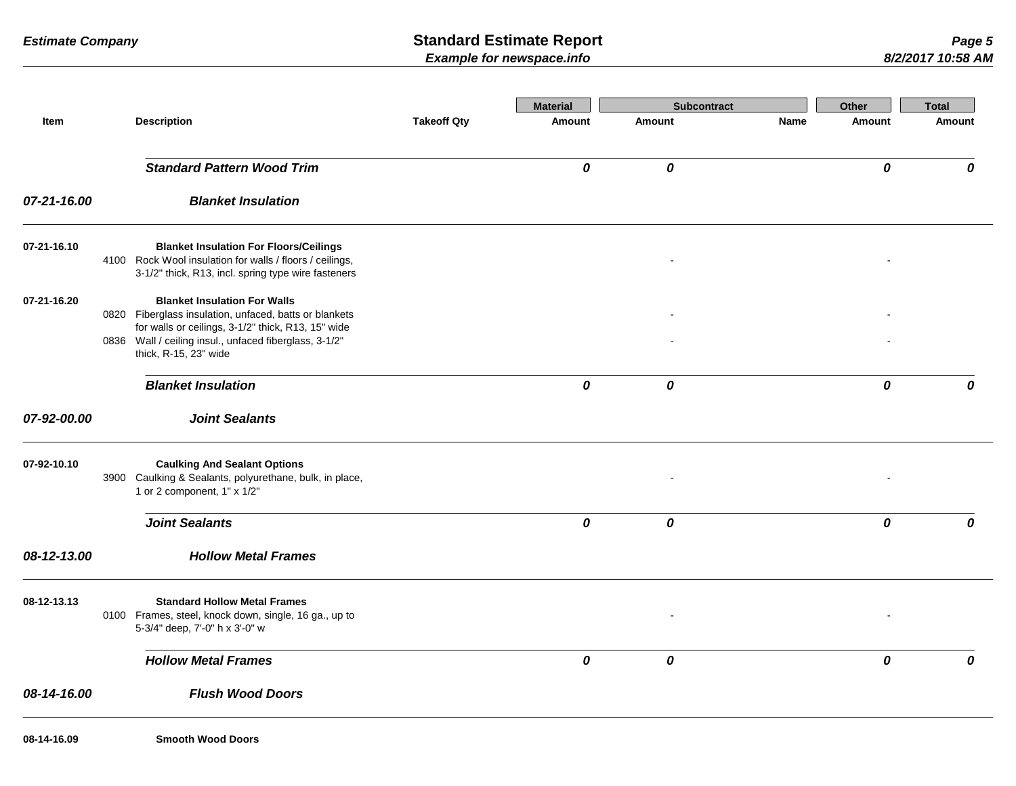|             |                                                                                                                                                                                                                                        |                    | <b>Material</b> | <b>Subcontract</b> |             | Other  | <b>Total</b> |
|-------------|----------------------------------------------------------------------------------------------------------------------------------------------------------------------------------------------------------------------------------------|--------------------|-----------------|--------------------|-------------|--------|--------------|
| Item        | <b>Description</b>                                                                                                                                                                                                                     | <b>Takeoff Qty</b> | <b>Amount</b>   | Amount             | <b>Name</b> | Amount | Amount       |
|             | <b>Standard Pattern Wood Trim</b>                                                                                                                                                                                                      |                    | 0               | 0                  |             | 0      | 0            |
| 07-21-16.00 | <b>Blanket Insulation</b>                                                                                                                                                                                                              |                    |                 |                    |             |        |              |
| 07-21-16.10 | <b>Blanket Insulation For Floors/Ceilings</b><br>4100 Rock Wool insulation for walls / floors / ceilings,<br>3-1/2" thick, R13, incl. spring type wire fasteners                                                                       |                    |                 |                    |             |        |              |
| 07-21-16.20 | <b>Blanket Insulation For Walls</b><br>0820 Fiberglass insulation, unfaced, batts or blankets<br>for walls or ceilings, 3-1/2" thick, R13, 15" wide<br>0836 Wall / ceiling insul., unfaced fiberglass, 3-1/2"<br>thick, R-15, 23" wide |                    |                 |                    |             |        |              |
|             | <b>Blanket Insulation</b>                                                                                                                                                                                                              |                    | 0               | 0                  |             | 0      | 0            |
| 07-92-00.00 | <b>Joint Sealants</b>                                                                                                                                                                                                                  |                    |                 |                    |             |        |              |
| 07-92-10.10 | <b>Caulking And Sealant Options</b><br>3900 Caulking & Sealants, polyurethane, bulk, in place,<br>1 or 2 component, 1" x 1/2"                                                                                                          |                    |                 |                    |             |        |              |
|             | <b>Joint Sealants</b>                                                                                                                                                                                                                  |                    | 0               | 0                  |             | 0      | 0            |
| 08-12-13.00 | <b>Hollow Metal Frames</b>                                                                                                                                                                                                             |                    |                 |                    |             |        |              |
| 08-12-13.13 | <b>Standard Hollow Metal Frames</b><br>0100 Frames, steel, knock down, single, 16 ga., up to<br>5-3/4" deep, 7'-0" h x 3'-0" w                                                                                                         |                    |                 |                    |             |        |              |
|             | <b>Hollow Metal Frames</b>                                                                                                                                                                                                             |                    | 0               | 0                  |             | 0      | 0            |
| 08-14-16.00 | <b>Flush Wood Doors</b>                                                                                                                                                                                                                |                    |                 |                    |             |        |              |
| 08-14-16.09 | <b>Smooth Wood Doors</b>                                                                                                                                                                                                               |                    |                 |                    |             |        |              |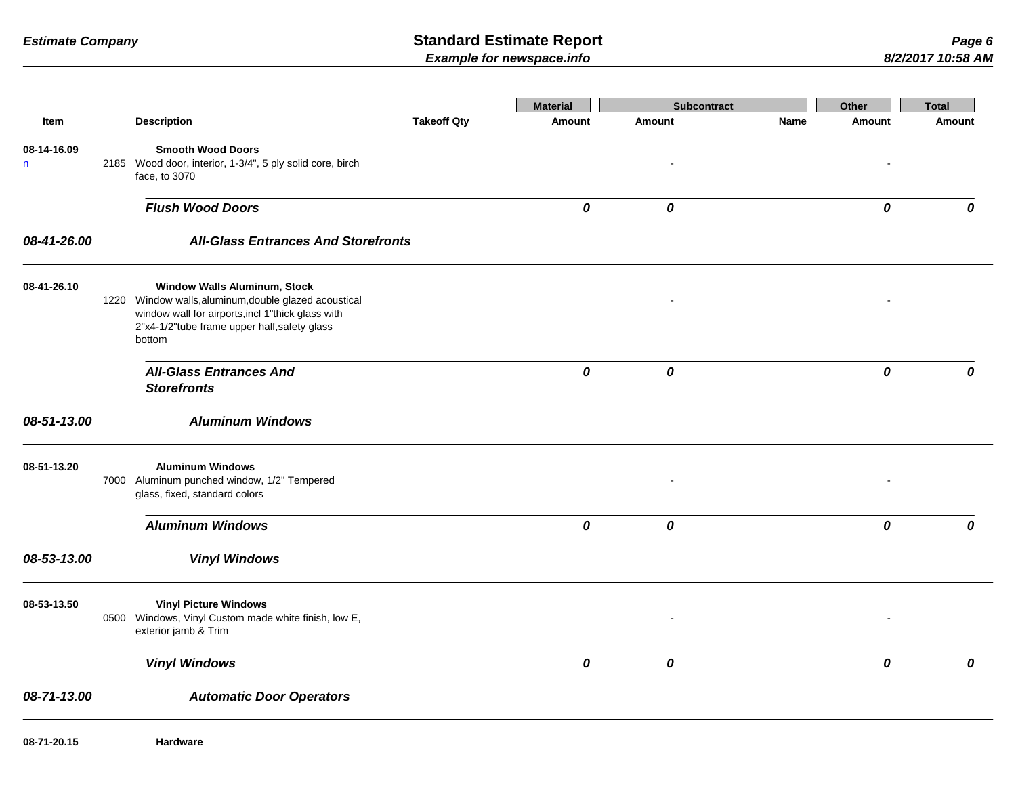|                             |                                                                                                                                                                                                             |                    | <b>Material</b> | <b>Subcontract</b> |      | Other  | <b>Total</b> |
|-----------------------------|-------------------------------------------------------------------------------------------------------------------------------------------------------------------------------------------------------------|--------------------|-----------------|--------------------|------|--------|--------------|
| Item                        | <b>Description</b>                                                                                                                                                                                          | <b>Takeoff Qty</b> | <b>Amount</b>   | Amount             | Name | Amount | Amount       |
| 08-14-16.09<br>$\mathsf{n}$ | <b>Smooth Wood Doors</b><br>2185 Wood door, interior, 1-3/4", 5 ply solid core, birch<br>face, to 3070                                                                                                      |                    |                 |                    |      |        |              |
|                             | <b>Flush Wood Doors</b>                                                                                                                                                                                     |                    | 0               | 0                  |      | 0      | 0            |
| 08-41-26.00                 | <b>All-Glass Entrances And Storefronts</b>                                                                                                                                                                  |                    |                 |                    |      |        |              |
| 08-41-26.10                 | <b>Window Walls Aluminum, Stock</b><br>1220 Window walls, aluminum, double glazed acoustical<br>window wall for airports, incl 1"thick glass with<br>2"x4-1/2"tube frame upper half, safety glass<br>bottom |                    |                 |                    |      |        |              |
|                             | <b>All-Glass Entrances And</b><br><b>Storefronts</b>                                                                                                                                                        |                    | 0               | 0                  |      | 0      | 0            |
| 08-51-13.00                 | <b>Aluminum Windows</b>                                                                                                                                                                                     |                    |                 |                    |      |        |              |
| 08-51-13.20                 | <b>Aluminum Windows</b><br>7000 Aluminum punched window, 1/2" Tempered<br>glass, fixed, standard colors                                                                                                     |                    |                 |                    |      |        |              |
|                             | <b>Aluminum Windows</b>                                                                                                                                                                                     |                    | 0               | 0                  |      | 0      | 0            |
| 08-53-13.00                 | <b>Vinyl Windows</b>                                                                                                                                                                                        |                    |                 |                    |      |        |              |
| 08-53-13.50                 | <b>Vinyl Picture Windows</b><br>0500 Windows, Vinyl Custom made white finish, low E,<br>exterior jamb & Trim                                                                                                |                    |                 |                    |      |        |              |
|                             | <b>Vinyl Windows</b>                                                                                                                                                                                        |                    | 0               | 0                  |      | 0      | 0            |
| 08-71-13.00                 | <b>Automatic Door Operators</b>                                                                                                                                                                             |                    |                 |                    |      |        |              |
| 08-71-20.15                 | <b>Hardware</b>                                                                                                                                                                                             |                    |                 |                    |      |        |              |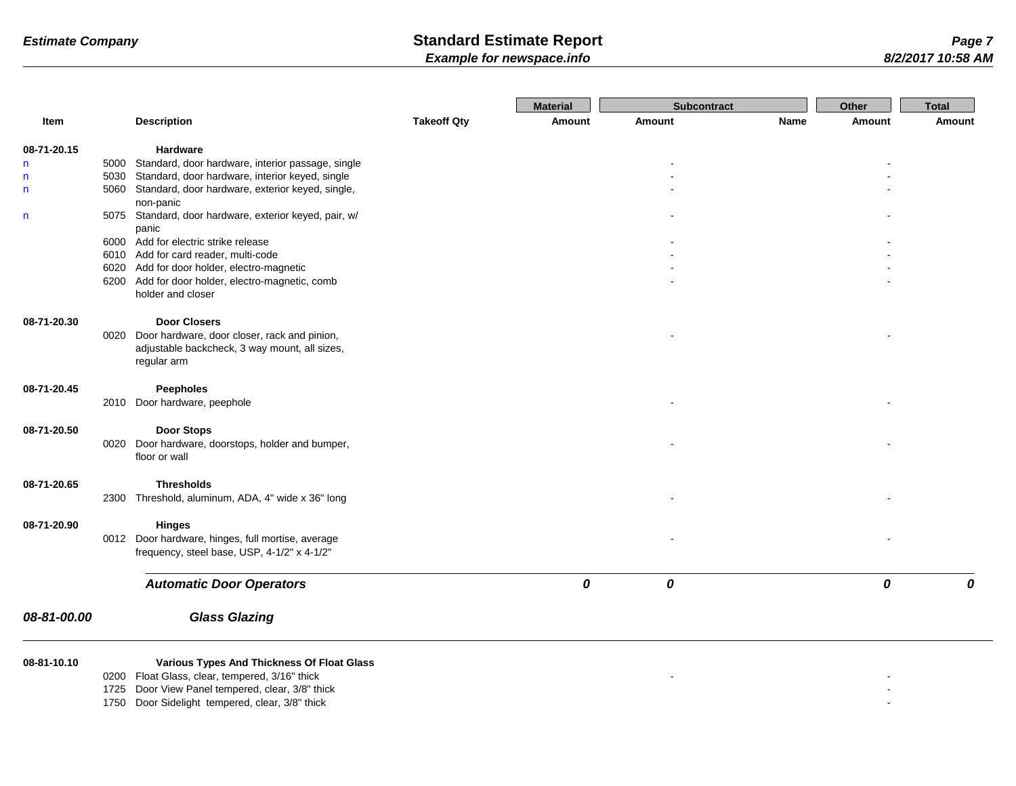|              |                                                        |                    | <b>Material</b> | <b>Subcontract</b> |      | Other  | <b>Total</b> |
|--------------|--------------------------------------------------------|--------------------|-----------------|--------------------|------|--------|--------------|
| Item         | <b>Description</b>                                     | <b>Takeoff Qty</b> | Amount          | <b>Amount</b>      | Name | Amount | Amount       |
| 08-71-20.15  | Hardware                                               |                    |                 |                    |      |        |              |
| n            | 5000 Standard, door hardware, interior passage, single |                    |                 |                    |      |        |              |
| n            | 5030 Standard, door hardware, interior keyed, single   |                    |                 |                    |      |        |              |
| n            | 5060 Standard, door hardware, exterior keyed, single,  |                    |                 |                    |      |        |              |
|              | non-panic                                              |                    |                 |                    |      |        |              |
| $\mathsf{n}$ | 5075 Standard, door hardware, exterior keyed, pair, w/ |                    |                 |                    |      |        |              |
|              | panic<br>6000 Add for electric strike release          |                    |                 |                    |      |        |              |
|              | 6010 Add for card reader, multi-code                   |                    |                 |                    |      |        |              |
|              | 6020 Add for door holder, electro-magnetic             |                    |                 |                    |      |        |              |
|              | 6200 Add for door holder, electro-magnetic, comb       |                    |                 |                    |      |        |              |
|              | holder and closer                                      |                    |                 |                    |      |        |              |
| 08-71-20.30  | <b>Door Closers</b>                                    |                    |                 |                    |      |        |              |
|              | 0020 Door hardware, door closer, rack and pinion,      |                    |                 |                    |      |        |              |
|              | adjustable backcheck, 3 way mount, all sizes,          |                    |                 |                    |      |        |              |
|              | regular arm                                            |                    |                 |                    |      |        |              |
|              |                                                        |                    |                 |                    |      |        |              |
| 08-71-20.45  | <b>Peepholes</b><br>2010 Door hardware, peephole       |                    |                 |                    |      |        |              |
|              |                                                        |                    |                 |                    |      |        |              |
| 08-71-20.50  | <b>Door Stops</b>                                      |                    |                 |                    |      |        |              |
|              | 0020 Door hardware, doorstops, holder and bumper,      |                    |                 |                    |      |        |              |
|              | floor or wall                                          |                    |                 |                    |      |        |              |
| 08-71-20.65  | <b>Thresholds</b>                                      |                    |                 |                    |      |        |              |
|              | 2300 Threshold, aluminum, ADA, 4" wide x 36" long      |                    |                 |                    |      |        |              |
|              |                                                        |                    |                 |                    |      |        |              |
| 08-71-20.90  | <b>Hinges</b>                                          |                    |                 |                    |      |        |              |
|              | 0012 Door hardware, hinges, full mortise, average      |                    |                 |                    |      |        |              |
|              | frequency, steel base, USP, 4-1/2" x 4-1/2"            |                    |                 |                    |      |        |              |
|              | <b>Automatic Door Operators</b>                        |                    | 0               | 0                  |      | 0      | 0            |
| 08-81-00.00  | <b>Glass Glazing</b>                                   |                    |                 |                    |      |        |              |
| 08-81-10.10  | Various Types And Thickness Of Float Glass             |                    |                 |                    |      |        |              |
|              | 0200 Float Glass, clear, tempered, 3/16" thick         |                    |                 |                    |      |        |              |
|              | 1725 Door View Panel tempered, clear, 3/8" thick       |                    |                 |                    |      |        |              |
|              | 1750 Door Sidelight tempered, clear, 3/8" thick        |                    |                 |                    |      |        |              |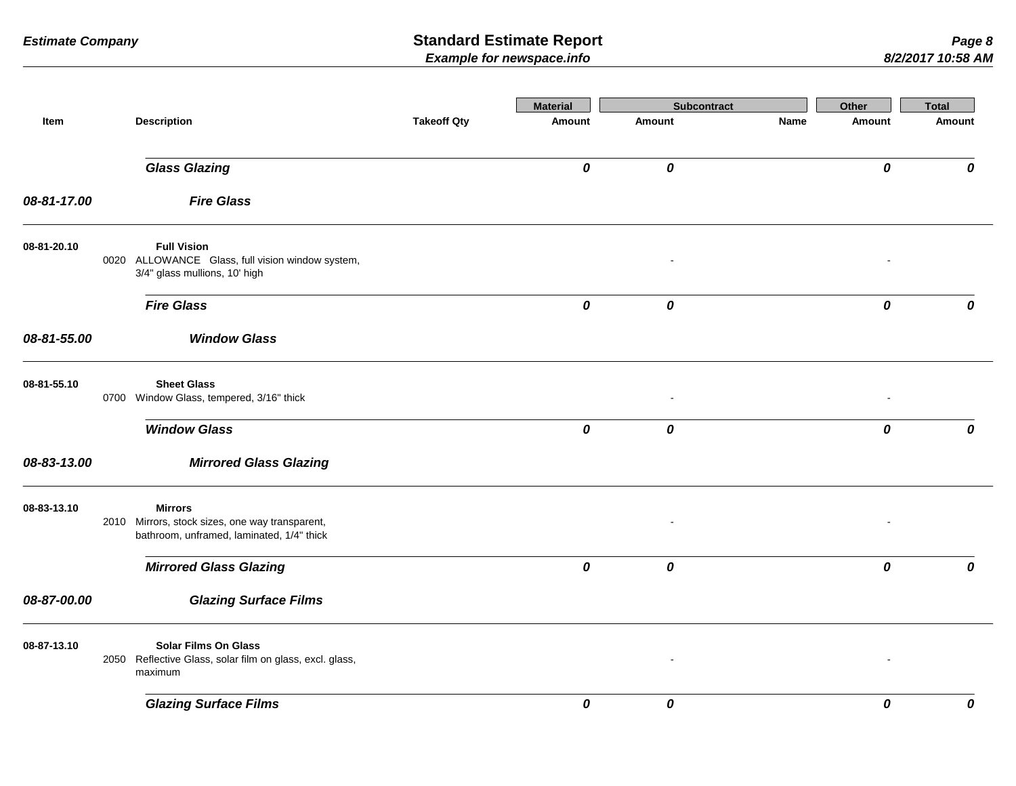|             |                                                                   |                                                          |                    | <b>Material</b>    | <b>Subcontract</b> |      | Other     | <b>Total</b> |
|-------------|-------------------------------------------------------------------|----------------------------------------------------------|--------------------|--------------------|--------------------|------|-----------|--------------|
| Item        | <b>Description</b>                                                |                                                          | <b>Takeoff Qty</b> | Amount             | Amount             | Name | Amount    | Amount       |
|             | <b>Glass Glazing</b>                                              |                                                          |                    | 0                  | 0                  |      | 0         | 0            |
| 08-81-17.00 | <b>Fire Glass</b>                                                 |                                                          |                    |                    |                    |      |           |              |
| 08-81-20.10 | <b>Full Vision</b><br>3/4" glass mullions, 10' high               | 0020 ALLOWANCE Glass, full vision window system,         |                    |                    |                    |      |           |              |
|             | <b>Fire Glass</b>                                                 |                                                          |                    | $\pmb{o}$          | 0                  |      | $\pmb{o}$ | 0            |
| 08-81-55.00 |                                                                   | <b>Window Glass</b>                                      |                    |                    |                    |      |           |              |
| 08-81-55.10 | <b>Sheet Glass</b><br>0700 Window Glass, tempered, 3/16" thick    |                                                          |                    |                    |                    |      |           |              |
|             | <b>Window Glass</b>                                               |                                                          |                    | 0                  | 0                  |      | 0         | 0            |
| 08-83-13.00 |                                                                   | <b>Mirrored Glass Glazing</b>                            |                    |                    |                    |      |           |              |
| 08-83-13.10 | <b>Mirrors</b><br>2010 Mirrors, stock sizes, one way transparent, | bathroom, unframed, laminated, 1/4" thick                |                    |                    |                    |      |           |              |
|             | <b>Mirrored Glass Glazing</b>                                     |                                                          |                    | $\pmb{\mathit{o}}$ | 0                  |      | 0         | 0            |
| 08-87-00.00 |                                                                   | <b>Glazing Surface Films</b>                             |                    |                    |                    |      |           |              |
| 08-87-13.10 | <b>Solar Films On Glass</b><br>maximum                            | 2050 Reflective Glass, solar film on glass, excl. glass, |                    |                    |                    |      |           |              |
|             | <b>Glazing Surface Films</b>                                      |                                                          |                    | 0                  | 0                  |      | 0         | 0            |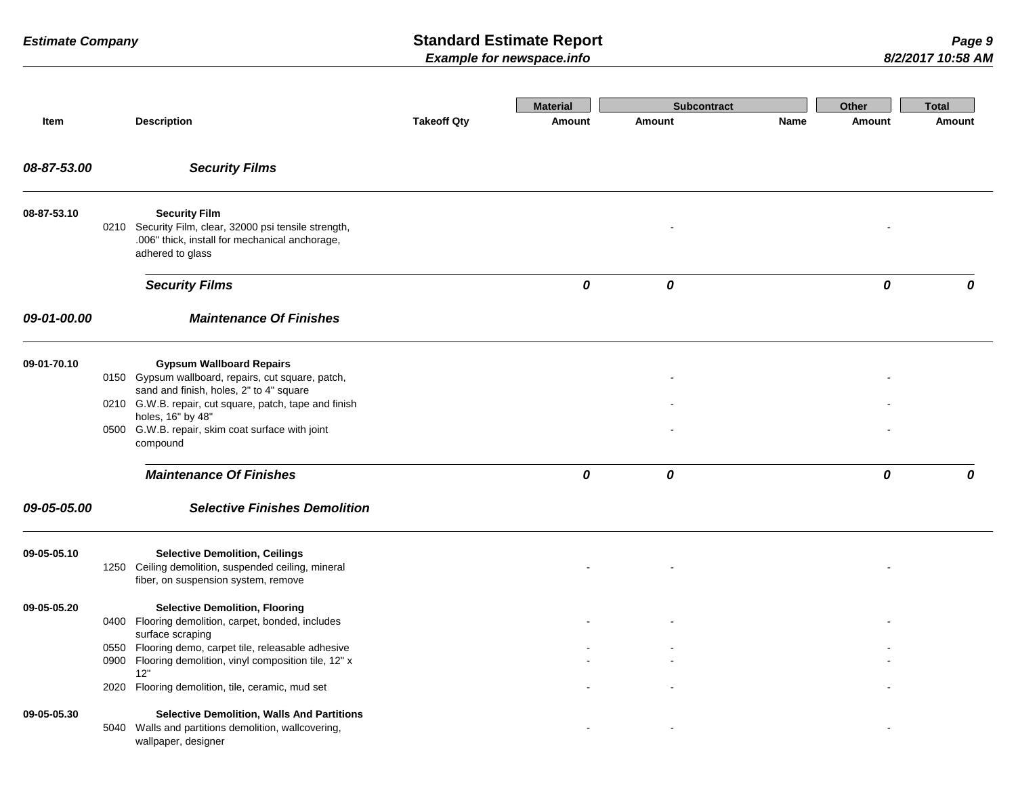|             |      |                                                                                                                                                                                            |                    | <b>Material</b> | <b>Subcontract</b> |      | Other  | <b>Total</b> |
|-------------|------|--------------------------------------------------------------------------------------------------------------------------------------------------------------------------------------------|--------------------|-----------------|--------------------|------|--------|--------------|
| Item        |      | <b>Description</b>                                                                                                                                                                         | <b>Takeoff Qty</b> | Amount          | Amount             | Name | Amount | Amount       |
| 08-87-53.00 |      | <b>Security Films</b>                                                                                                                                                                      |                    |                 |                    |      |        |              |
| 08-87-53.10 |      | <b>Security Film</b><br>0210 Security Film, clear, 32000 psi tensile strength,<br>.006" thick, install for mechanical anchorage,<br>adhered to glass                                       |                    |                 |                    |      |        |              |
|             |      | <b>Security Films</b>                                                                                                                                                                      |                    | 0               | 0                  |      | 0      | 0            |
| 09-01-00.00 |      | <b>Maintenance Of Finishes</b>                                                                                                                                                             |                    |                 |                    |      |        |              |
| 09-01-70.10 |      | <b>Gypsum Wallboard Repairs</b><br>0150 Gypsum wallboard, repairs, cut square, patch,<br>sand and finish, holes, 2" to 4" square<br>0210 G.W.B. repair, cut square, patch, tape and finish |                    |                 |                    |      |        |              |
|             |      | holes, 16" by 48"<br>0500 G.W.B. repair, skim coat surface with joint<br>compound                                                                                                          |                    |                 |                    |      |        |              |
|             |      | <b>Maintenance Of Finishes</b>                                                                                                                                                             |                    | 0               | 0                  |      | 0      | 0            |
| 09-05-05.00 |      | <b>Selective Finishes Demolition</b>                                                                                                                                                       |                    |                 |                    |      |        |              |
| 09-05-05.10 |      | <b>Selective Demolition, Ceilings</b><br>1250 Ceiling demolition, suspended ceiling, mineral<br>fiber, on suspension system, remove                                                        |                    |                 |                    |      |        |              |
| 09-05-05.20 |      | <b>Selective Demolition, Flooring</b><br>0400 Flooring demolition, carpet, bonded, includes<br>surface scraping                                                                            |                    |                 |                    |      |        |              |
|             |      | 0550 Flooring demo, carpet tile, releasable adhesive<br>0900 Flooring demolition, vinyl composition tile, 12" x<br>12"                                                                     |                    |                 |                    |      |        |              |
| 09-05-05.30 | 2020 | Flooring demolition, tile, ceramic, mud set<br><b>Selective Demolition, Walls And Partitions</b><br>5040 Walls and partitions demolition, wallcovering,<br>wallpaper, designer             |                    |                 |                    |      |        |              |
|             |      |                                                                                                                                                                                            |                    |                 |                    |      |        |              |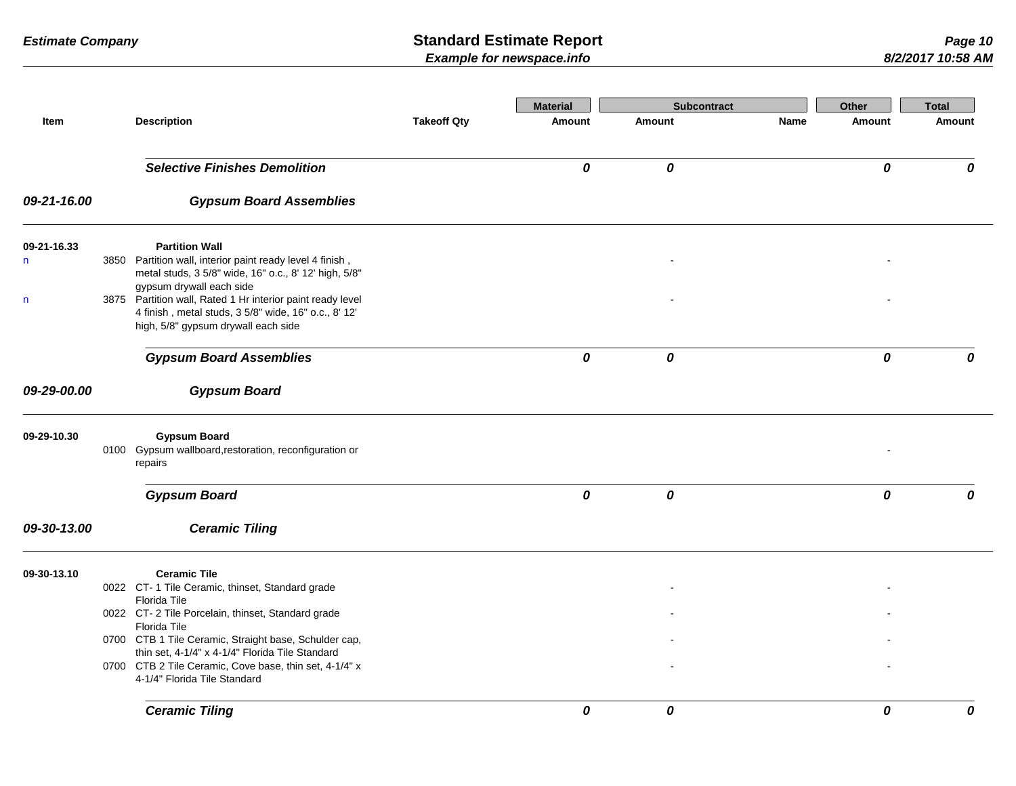|             |                                                                                                                                                           |                    | <b>Material</b> | <b>Subcontract</b> |      | <b>Other</b> | <b>Total</b> |
|-------------|-----------------------------------------------------------------------------------------------------------------------------------------------------------|--------------------|-----------------|--------------------|------|--------------|--------------|
| Item        | <b>Description</b>                                                                                                                                        | <b>Takeoff Qty</b> | <b>Amount</b>   | Amount             | Name | Amount       | Amount       |
|             | <b>Selective Finishes Demolition</b>                                                                                                                      |                    | 0               | 0                  |      | 0            | 0            |
| 09-21-16.00 | <b>Gypsum Board Assemblies</b>                                                                                                                            |                    |                 |                    |      |              |              |
| 09-21-16.33 | <b>Partition Wall</b>                                                                                                                                     |                    |                 |                    |      |              |              |
| n           | 3850 Partition wall, interior paint ready level 4 finish,<br>metal studs, 3 5/8" wide, 16" o.c., 8' 12' high, 5/8"<br>gypsum drywall each side            |                    |                 |                    |      |              |              |
| n           | 3875 Partition wall, Rated 1 Hr interior paint ready level<br>4 finish, metal studs, 3 5/8" wide, 16" o.c., 8' 12'<br>high, 5/8" gypsum drywall each side |                    |                 |                    |      |              |              |
|             | <b>Gypsum Board Assemblies</b>                                                                                                                            |                    | 0               | 0                  |      | 0            | 0            |
| 09-29-00.00 | <b>Gypsum Board</b>                                                                                                                                       |                    |                 |                    |      |              |              |
| 09-29-10.30 | <b>Gypsum Board</b><br>0100 Gypsum wallboard, restoration, reconfiguration or<br>repairs                                                                  |                    |                 |                    |      |              |              |
|             | <b>Gypsum Board</b>                                                                                                                                       |                    | 0               | 0                  |      | 0            | 0            |
| 09-30-13.00 | <b>Ceramic Tiling</b>                                                                                                                                     |                    |                 |                    |      |              |              |
| 09-30-13.10 | <b>Ceramic Tile</b>                                                                                                                                       |                    |                 |                    |      |              |              |
|             | 0022 CT-1 Tile Ceramic, thinset, Standard grade                                                                                                           |                    |                 |                    |      |              |              |
|             | Florida Tile<br>0022 CT-2 Tile Porcelain, thinset, Standard grade                                                                                         |                    |                 |                    |      |              |              |
|             | Florida Tile                                                                                                                                              |                    |                 |                    |      |              |              |
|             | 0700 CTB 1 Tile Ceramic, Straight base, Schulder cap,                                                                                                     |                    |                 |                    |      |              |              |
|             | thin set, 4-1/4" x 4-1/4" Florida Tile Standard                                                                                                           |                    |                 |                    |      |              |              |
|             | 0700 CTB 2 Tile Ceramic, Cove base, thin set, 4-1/4" x<br>4-1/4" Florida Tile Standard                                                                    |                    |                 |                    |      |              |              |
|             | <b>Ceramic Tiling</b>                                                                                                                                     |                    | 0               | 0                  |      | 0            | 0            |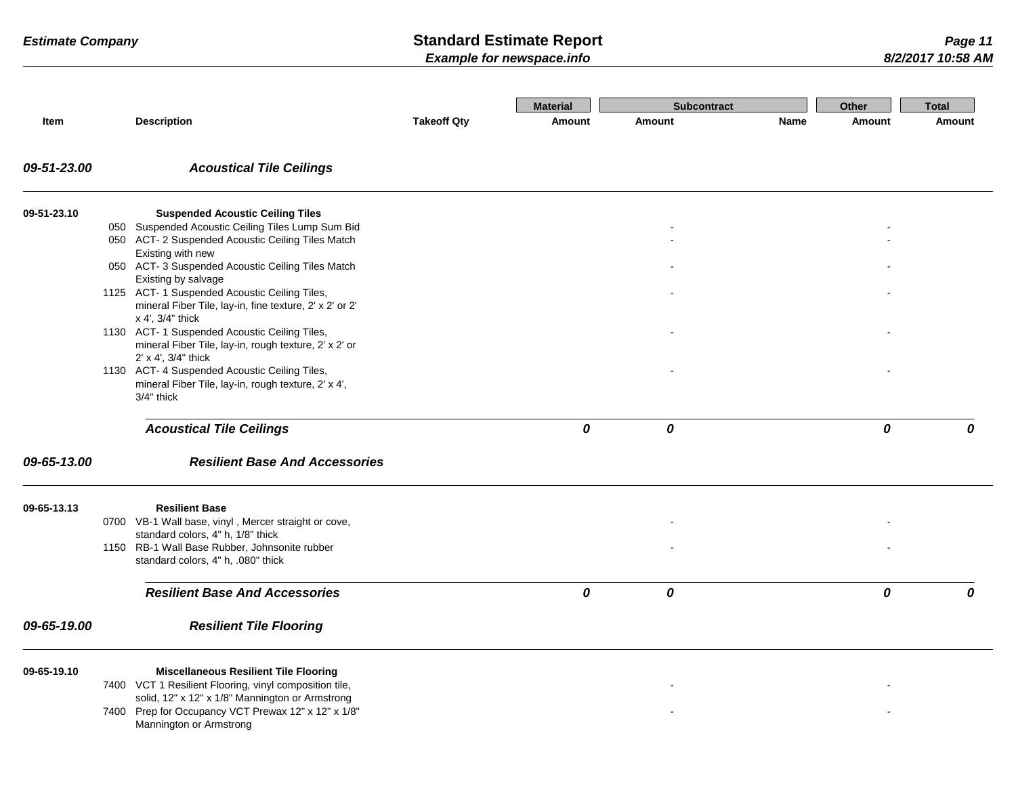- -

- -

| <b>Estimate Company</b> |     | <b>Standard Estimate Report</b><br><b>Example for newspace.info</b>                                                               |                    |                 |                    | Page 11<br>8/2/2017 10:58 AM |        |        |
|-------------------------|-----|-----------------------------------------------------------------------------------------------------------------------------------|--------------------|-----------------|--------------------|------------------------------|--------|--------|
|                         |     |                                                                                                                                   |                    | <b>Material</b> | <b>Subcontract</b> |                              | Other  | Total  |
| Item                    |     | <b>Description</b>                                                                                                                | <b>Takeoff Qty</b> | Amount          | Amount             | Name                         | Amount | Amount |
| 09-51-23.00             |     | <b>Acoustical Tile Ceilings</b>                                                                                                   |                    |                 |                    |                              |        |        |
| 09-51-23.10             |     | <b>Suspended Acoustic Ceiling Tiles</b>                                                                                           |                    |                 |                    |                              |        |        |
|                         |     | 050 Suspended Acoustic Ceiling Tiles Lump Sum Bid                                                                                 |                    |                 |                    |                              |        |        |
|                         |     | 050 ACT-2 Suspended Acoustic Ceiling Tiles Match<br>Existing with new                                                             |                    |                 |                    |                              |        |        |
|                         | 050 | ACT-3 Suspended Acoustic Ceiling Tiles Match<br>Existing by salvage                                                               |                    |                 |                    |                              |        |        |
|                         |     | 1125 ACT- 1 Suspended Acoustic Ceiling Tiles,<br>mineral Fiber Tile, lay-in, fine texture, 2' x 2' or 2'<br>$x$ 4', $3/4$ " thick |                    |                 |                    |                              |        |        |
|                         |     | 1130 ACT- 1 Suspended Acoustic Ceiling Tiles,<br>mineral Fiber Tile, lay-in, rough texture, 2' x 2' or<br>2' x 4', 3/4" thick     |                    |                 |                    |                              |        |        |
|                         |     | 1130 ACT- 4 Suspended Acoustic Ceiling Tiles,                                                                                     |                    |                 |                    |                              |        |        |

### 2' x 4', 3/4" thick 1130 ACT- 4 Suspended Acoustic Ceiling Tiles, mineral Fiber Tile, lay-in, rough texture, 2' x 4', 3/4" thick

### *Acoustical Tile Ceilings 0 0 0 0*

### *09-65-13.00 Resilient Base And Accessories*

| 09-65-19.00 | <b>Resilient Tile Flooring</b>                                                            |   |                          |  |
|-------------|-------------------------------------------------------------------------------------------|---|--------------------------|--|
|             | <b>Resilient Base And Accessories</b>                                                     | 0 | 0                        |  |
|             | 1150 RB-1 Wall Base Rubber, Johnsonite rubber<br>standard colors, 4" h, .080" thick       |   | $\blacksquare$           |  |
|             | 0700 VB-1 Wall base, vinyl, Mercer straight or cove,<br>standard colors, 4" h, 1/8" thick |   | $\overline{\phantom{a}}$ |  |
| 09-65-13.13 | <b>Resilient Base</b>                                                                     |   |                          |  |

### **09-65-19.10 Miscellaneous Resilient Tile Flooring**

7400 VCT 1 Resilient Flooring, vinyl composition tile, solid, 12" x 12" x 1/8" Mannington or Armstrong

7400 Prep for Occupancy VCT Prewax 12" x 12" x 1/8" Mannington or Armstrong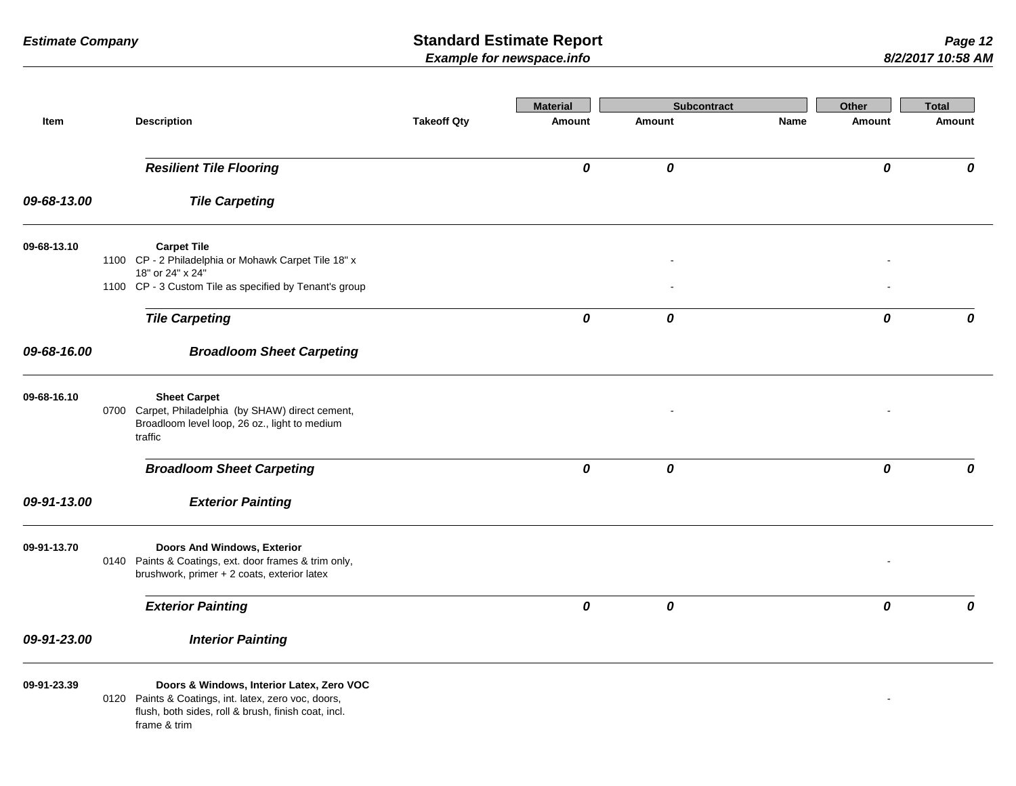|             |                                                                                                                                                                          |                    | <b>Material</b> | <b>Subcontract</b> |      | Other  | <b>Total</b>  |
|-------------|--------------------------------------------------------------------------------------------------------------------------------------------------------------------------|--------------------|-----------------|--------------------|------|--------|---------------|
| Item        | <b>Description</b>                                                                                                                                                       | <b>Takeoff Qty</b> | Amount          | Amount             | Name | Amount | <b>Amount</b> |
|             | <b>Resilient Tile Flooring</b>                                                                                                                                           |                    | 0               | 0                  |      | 0      | 0             |
| 09-68-13.00 | <b>Tile Carpeting</b>                                                                                                                                                    |                    |                 |                    |      |        |               |
| 09-68-13.10 | <b>Carpet Tile</b><br>1100 CP - 2 Philadelphia or Mohawk Carpet Tile 18" x                                                                                               |                    |                 |                    |      |        |               |
|             | 18" or 24" x 24"<br>1100 CP - 3 Custom Tile as specified by Tenant's group                                                                                               |                    |                 |                    |      |        |               |
|             | <b>Tile Carpeting</b>                                                                                                                                                    |                    | 0               | 0                  |      | 0      | 0             |
| 09-68-16.00 | <b>Broadloom Sheet Carpeting</b>                                                                                                                                         |                    |                 |                    |      |        |               |
| 09-68-16.10 | <b>Sheet Carpet</b><br>0700 Carpet, Philadelphia (by SHAW) direct cement,<br>Broadloom level loop, 26 oz., light to medium<br>traffic                                    |                    |                 |                    |      |        |               |
|             | <b>Broadloom Sheet Carpeting</b>                                                                                                                                         |                    | 0               | 0                  |      | 0      | 0             |
| 09-91-13.00 | <b>Exterior Painting</b>                                                                                                                                                 |                    |                 |                    |      |        |               |
| 09-91-13.70 | Doors And Windows, Exterior<br>0140 Paints & Coatings, ext. door frames & trim only,<br>brushwork, primer + 2 coats, exterior latex                                      |                    |                 |                    |      |        |               |
|             | <b>Exterior Painting</b>                                                                                                                                                 |                    | 0               | 0                  |      | 0      | 0             |
| 09-91-23.00 | <b>Interior Painting</b>                                                                                                                                                 |                    |                 |                    |      |        |               |
| 09-91-23.39 | Doors & Windows, Interior Latex, Zero VOC<br>0120 Paints & Coatings, int. latex, zero voc, doors,<br>flush, both sides, roll & brush, finish coat, incl.<br>frame & trim |                    |                 |                    |      |        |               |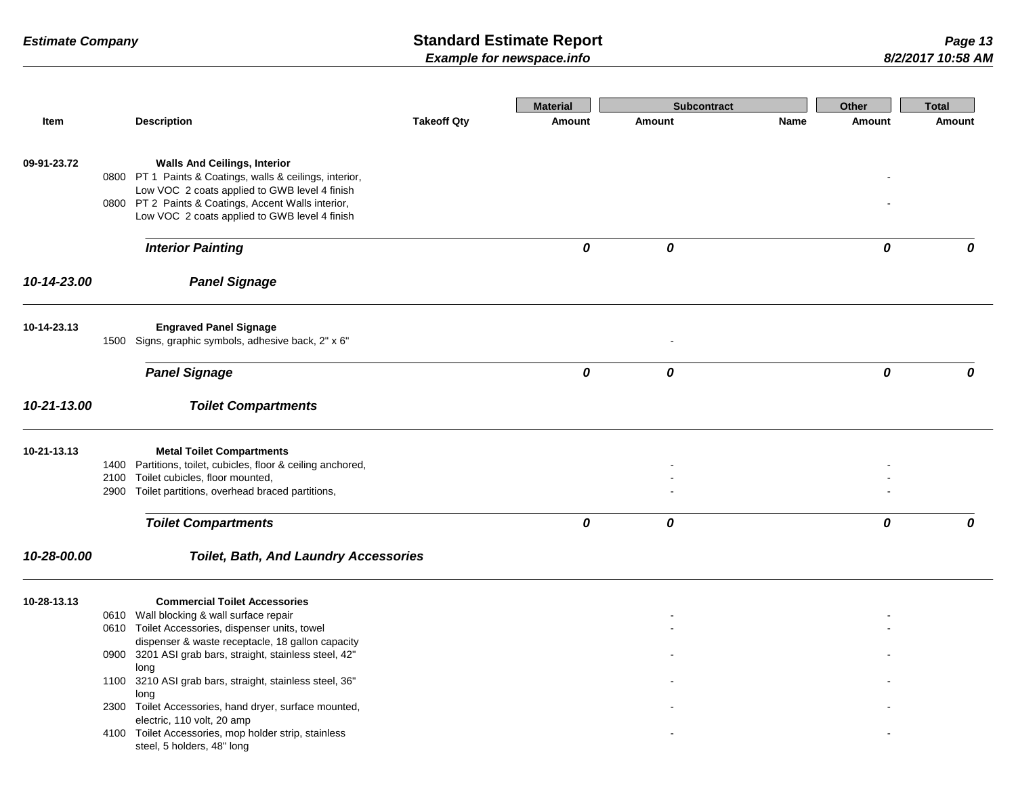|             |                                                                                                             |                    | <b>Material</b> | <b>Subcontract</b> |      | Other  | <b>Total</b>  |
|-------------|-------------------------------------------------------------------------------------------------------------|--------------------|-----------------|--------------------|------|--------|---------------|
| Item        | <b>Description</b>                                                                                          | <b>Takeoff Qty</b> | Amount          | <b>Amount</b>      | Name | Amount | <b>Amount</b> |
| 09-91-23.72 | <b>Walls And Ceilings, Interior</b>                                                                         |                    |                 |                    |      |        |               |
|             | 0800 PT 1 Paints & Coatings, walls & ceilings, interior,                                                    |                    |                 |                    |      |        |               |
|             | Low VOC 2 coats applied to GWB level 4 finish<br>0800 PT 2 Paints & Coatings, Accent Walls interior,        |                    |                 |                    |      |        |               |
|             | Low VOC 2 coats applied to GWB level 4 finish                                                               |                    |                 |                    |      |        |               |
|             | <b>Interior Painting</b>                                                                                    |                    | 0               | 0                  |      | 0      | 0             |
| 10-14-23.00 | <b>Panel Signage</b>                                                                                        |                    |                 |                    |      |        |               |
| 10-14-23.13 | <b>Engraved Panel Signage</b>                                                                               |                    |                 |                    |      |        |               |
|             | 1500 Signs, graphic symbols, adhesive back, 2" x 6"                                                         |                    |                 |                    |      |        |               |
|             | <b>Panel Signage</b>                                                                                        |                    | 0               | 0                  |      | 0      | 0             |
| 10-21-13.00 | <b>Toilet Compartments</b>                                                                                  |                    |                 |                    |      |        |               |
| 10-21-13.13 | <b>Metal Toilet Compartments</b>                                                                            |                    |                 |                    |      |        |               |
|             | 1400 Partitions, toilet, cubicles, floor & ceiling anchored,                                                |                    |                 |                    |      |        |               |
|             | 2100 Toilet cubicles, floor mounted,                                                                        |                    |                 |                    |      |        |               |
|             | 2900 Toilet partitions, overhead braced partitions,                                                         |                    |                 |                    |      |        |               |
|             | <b>Toilet Compartments</b>                                                                                  |                    | 0               | 0                  |      | 0      | 0             |
| 10-28-00.00 | <b>Toilet, Bath, And Laundry Accessories</b>                                                                |                    |                 |                    |      |        |               |
| 10-28-13.13 | <b>Commercial Toilet Accessories</b>                                                                        |                    |                 |                    |      |        |               |
|             | 0610 Wall blocking & wall surface repair                                                                    |                    |                 |                    |      |        |               |
|             | 0610 Toilet Accessories, dispenser units, towel                                                             |                    |                 |                    |      |        |               |
|             | dispenser & waste receptacle, 18 gallon capacity<br>0900 3201 ASI grab bars, straight, stainless steel, 42" |                    |                 |                    |      |        |               |
|             | long                                                                                                        |                    |                 |                    |      |        |               |
|             | 1100 3210 ASI grab bars, straight, stainless steel, 36"                                                     |                    |                 |                    |      |        |               |
|             | long                                                                                                        |                    |                 |                    |      |        |               |
|             | 2300 Toilet Accessories, hand dryer, surface mounted,<br>electric, 110 volt, 20 amp                         |                    |                 |                    |      |        |               |
|             | 4100 Toilet Accessories, mop holder strip, stainless                                                        |                    |                 |                    |      |        |               |
|             | steel, 5 holders, 48" long                                                                                  |                    |                 |                    |      |        |               |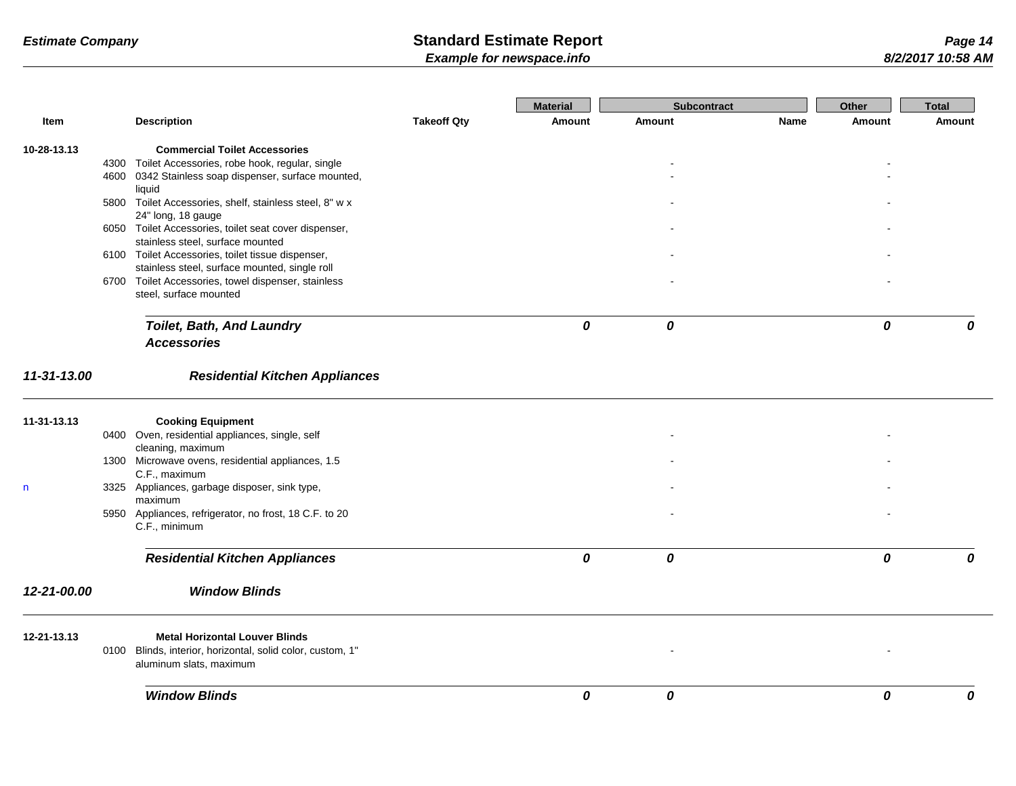|              |                                                                                       |                    | <b>Material</b> | <b>Subcontract</b> |             | Other         | <b>Total</b> |
|--------------|---------------------------------------------------------------------------------------|--------------------|-----------------|--------------------|-------------|---------------|--------------|
| Item         | <b>Description</b>                                                                    | <b>Takeoff Qty</b> | <b>Amount</b>   | <b>Amount</b>      | <b>Name</b> | <b>Amount</b> | Amount       |
| 10-28-13.13  | <b>Commercial Toilet Accessories</b>                                                  |                    |                 |                    |             |               |              |
|              | 4300 Toilet Accessories, robe hook, regular, single                                   |                    |                 |                    |             |               |              |
|              | 4600 0342 Stainless soap dispenser, surface mounted,                                  |                    |                 |                    |             |               |              |
|              | liquid<br>5800 Toilet Accessories, shelf, stainless steel, 8" w x                     |                    |                 |                    |             |               |              |
|              | 24" long, 18 gauge                                                                    |                    |                 |                    |             |               |              |
|              | 6050 Toilet Accessories, toilet seat cover dispenser,                                 |                    |                 |                    |             |               |              |
|              | stainless steel, surface mounted                                                      |                    |                 |                    |             |               |              |
|              | 6100 Toilet Accessories, toilet tissue dispenser,                                     |                    |                 |                    |             |               |              |
|              | stainless steel, surface mounted, single roll                                         |                    |                 |                    |             |               |              |
|              | 6700 Toilet Accessories, towel dispenser, stainless<br>steel, surface mounted         |                    |                 |                    |             |               |              |
|              | <b>Toilet, Bath, And Laundry</b>                                                      |                    | 0               | 0                  |             | 0             | 0            |
|              | <b>Accessories</b>                                                                    |                    |                 |                    |             |               |              |
| 11-31-13.00  | <b>Residential Kitchen Appliances</b>                                                 |                    |                 |                    |             |               |              |
| 11-31-13.13  | <b>Cooking Equipment</b>                                                              |                    |                 |                    |             |               |              |
|              | 0400 Oven, residential appliances, single, self                                       |                    |                 |                    |             |               |              |
|              | cleaning, maximum                                                                     |                    |                 |                    |             |               |              |
|              | 1300 Microwave ovens, residential appliances, 1.5                                     |                    |                 |                    |             |               |              |
|              | C.F., maximum                                                                         |                    |                 |                    |             |               |              |
| $\mathsf{n}$ | 3325 Appliances, garbage disposer, sink type,<br>maximum                              |                    |                 |                    |             |               |              |
|              | 5950 Appliances, refrigerator, no frost, 18 C.F. to 20                                |                    |                 |                    |             |               |              |
|              | C.F., minimum                                                                         |                    |                 |                    |             |               |              |
|              | <b>Residential Kitchen Appliances</b>                                                 |                    | 0               | 0                  |             | 0             | 0            |
| 12-21-00.00  | <b>Window Blinds</b>                                                                  |                    |                 |                    |             |               |              |
| 12-21-13.13  | <b>Metal Horizontal Louver Blinds</b>                                                 |                    |                 |                    |             |               |              |
|              | 0100 Blinds, interior, horizontal, solid color, custom, 1"<br>aluminum slats, maximum |                    |                 |                    |             |               |              |
|              | <b>Window Blinds</b>                                                                  |                    | 0               | 0                  |             | 0             | 0            |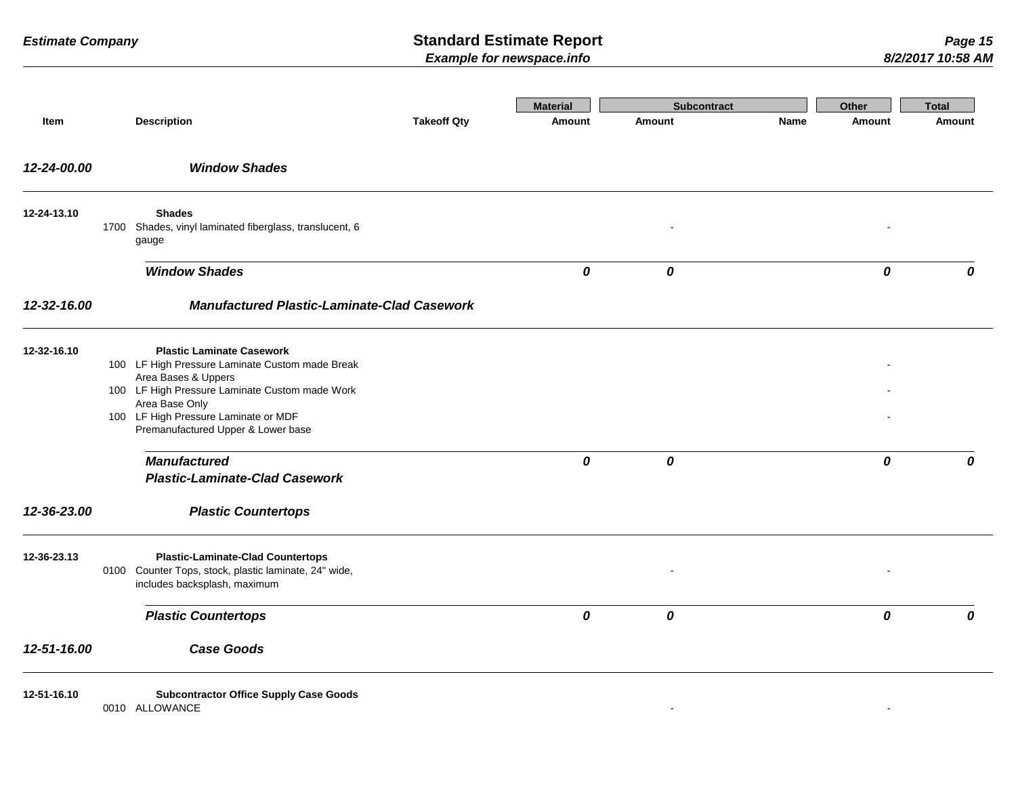|             |                                                                                                                                                                                                                                                              |                                                    | <b>Material</b> | <b>Subcontract</b> |             | Other          | <b>Total</b> |
|-------------|--------------------------------------------------------------------------------------------------------------------------------------------------------------------------------------------------------------------------------------------------------------|----------------------------------------------------|-----------------|--------------------|-------------|----------------|--------------|
| Item        | <b>Description</b>                                                                                                                                                                                                                                           | <b>Takeoff Qty</b>                                 | <b>Amount</b>   | Amount             | <b>Name</b> | <b>Amount</b>  | Amount       |
| 12-24-00.00 | <b>Window Shades</b>                                                                                                                                                                                                                                         |                                                    |                 |                    |             |                |              |
| 12-24-13.10 | <b>Shades</b><br>Shades, vinyl laminated fiberglass, translucent, 6<br>1700<br>gauge                                                                                                                                                                         |                                                    |                 |                    |             |                |              |
|             | <b>Window Shades</b>                                                                                                                                                                                                                                         |                                                    | 0               | $\boldsymbol{o}$   |             | 0              | 0            |
| 12-32-16.00 |                                                                                                                                                                                                                                                              | <b>Manufactured Plastic-Laminate-Clad Casework</b> |                 |                    |             |                |              |
| 12-32-16.10 | <b>Plastic Laminate Casework</b><br>100 LF High Pressure Laminate Custom made Break<br>Area Bases & Uppers<br>100 LF High Pressure Laminate Custom made Work<br>Area Base Only<br>100 LF High Pressure Laminate or MDF<br>Premanufactured Upper & Lower base |                                                    |                 |                    |             |                |              |
|             | <b>Manufactured</b><br><b>Plastic-Laminate-Clad Casework</b>                                                                                                                                                                                                 |                                                    | 0               | 0                  |             | 0              | 0            |
| 12-36-23.00 | <b>Plastic Countertops</b>                                                                                                                                                                                                                                   |                                                    |                 |                    |             |                |              |
| 12-36-23.13 | <b>Plastic-Laminate-Clad Countertops</b><br>Counter Tops, stock, plastic laminate, 24" wide,<br>0100<br>includes backsplash, maximum                                                                                                                         |                                                    |                 |                    |             |                |              |
|             | <b>Plastic Countertops</b>                                                                                                                                                                                                                                   |                                                    | 0               | 0                  |             | 0              | 0            |
| 12-51-16.00 | <b>Case Goods</b>                                                                                                                                                                                                                                            |                                                    |                 |                    |             |                |              |
| 12-51-16.10 | <b>Subcontractor Office Supply Case Goods</b><br>0010 ALLOWANCE                                                                                                                                                                                              |                                                    |                 |                    |             | $\blacksquare$ |              |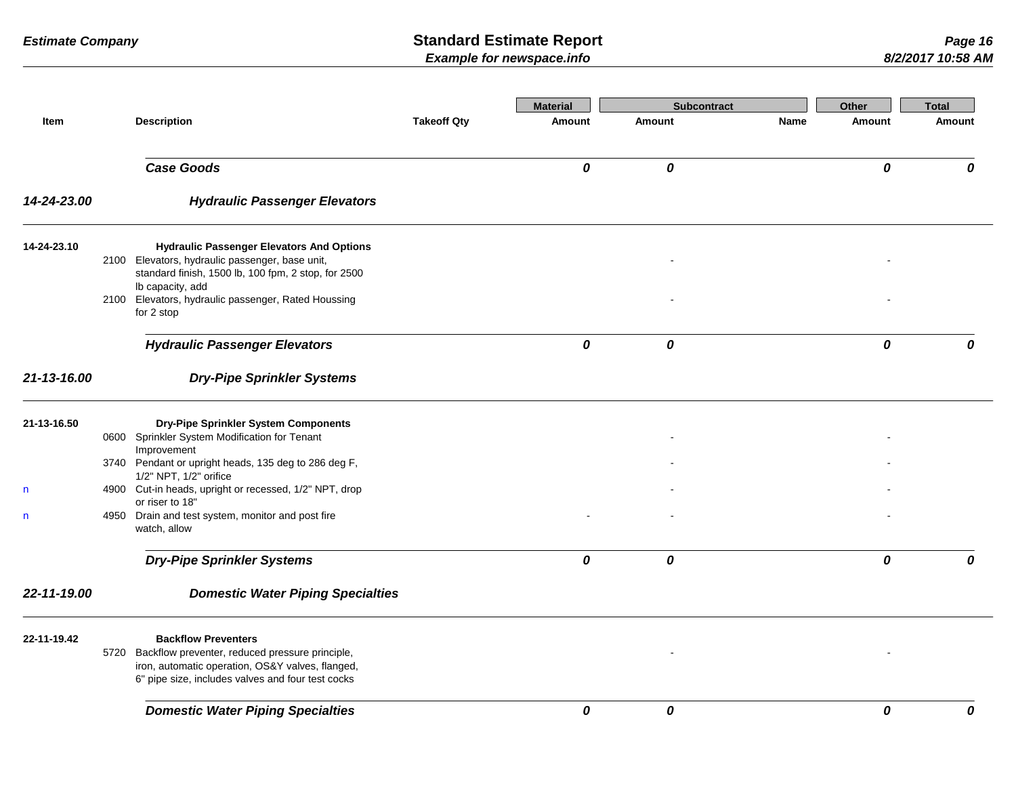|             |                        |                                                                                                          |                    | <b>Material</b> | <b>Subcontract</b> |             | Other         | <b>Total</b> |
|-------------|------------------------|----------------------------------------------------------------------------------------------------------|--------------------|-----------------|--------------------|-------------|---------------|--------------|
| Item        | <b>Description</b>     |                                                                                                          | <b>Takeoff Qty</b> | Amount          | Amount             | <b>Name</b> | <b>Amount</b> | Amount       |
|             | <b>Case Goods</b>      |                                                                                                          |                    | 0               | 0                  |             | 0             | 0            |
| 14-24-23.00 |                        | <b>Hydraulic Passenger Elevators</b>                                                                     |                    |                 |                    |             |               |              |
| 14-24-23.10 |                        | <b>Hydraulic Passenger Elevators And Options</b>                                                         |                    |                 |                    |             |               |              |
|             | Ib capacity, add       | 2100 Elevators, hydraulic passenger, base unit,<br>standard finish, 1500 lb, 100 fpm, 2 stop, for 2500   |                    |                 |                    |             |               |              |
|             | for 2 stop             | 2100 Elevators, hydraulic passenger, Rated Houssing                                                      |                    |                 |                    |             |               |              |
|             |                        | <b>Hydraulic Passenger Elevators</b>                                                                     |                    | 0               | 0                  |             | 0             | 0            |
| 21-13-16.00 |                        | <b>Dry-Pipe Sprinkler Systems</b>                                                                        |                    |                 |                    |             |               |              |
| 21-13-16.50 |                        | Dry-Pipe Sprinkler System Components                                                                     |                    |                 |                    |             |               |              |
|             | Improvement            | 0600 Sprinkler System Modification for Tenant                                                            |                    |                 |                    |             |               |              |
|             | 1/2" NPT, 1/2" orifice | 3740 Pendant or upright heads, 135 deg to 286 deg F,                                                     |                    |                 |                    |             |               |              |
| n           | or riser to 18"        | 4900 Cut-in heads, upright or recessed, 1/2" NPT, drop                                                   |                    |                 |                    |             |               |              |
| n           | watch, allow           | 4950 Drain and test system, monitor and post fire                                                        |                    |                 |                    |             |               |              |
|             |                        | <b>Dry-Pipe Sprinkler Systems</b>                                                                        |                    | 0               | 0                  |             | 0             | 0            |
| 22-11-19.00 |                        | <b>Domestic Water Piping Specialties</b>                                                                 |                    |                 |                    |             |               |              |
| 22-11-19.42 |                        | <b>Backflow Preventers</b>                                                                               |                    |                 |                    |             |               |              |
|             |                        | 5720 Backflow preventer, reduced pressure principle,<br>iron, automatic operation, OS&Y valves, flanged, |                    |                 |                    |             |               |              |
|             |                        | 6" pipe size, includes valves and four test cocks                                                        |                    |                 |                    |             |               |              |
|             |                        | <b>Domestic Water Piping Specialties</b>                                                                 |                    | 0               | 0                  |             | 0             | 0            |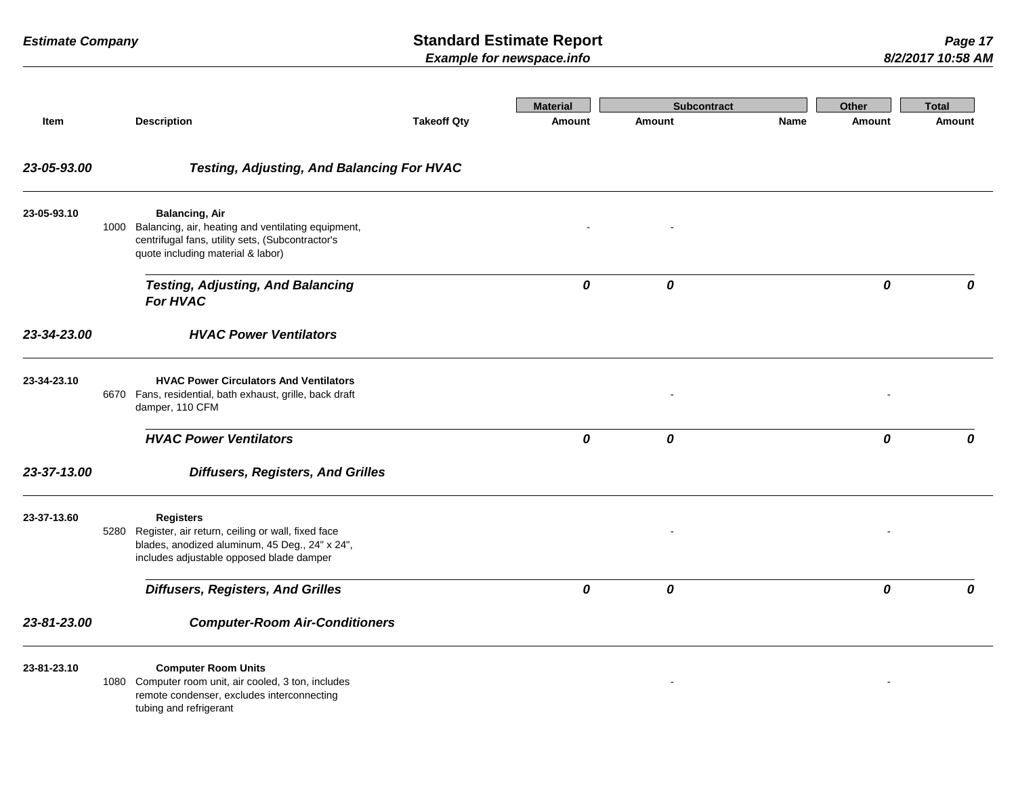|             |                                                                                                                                                            |                                                                                                      |                    | <b>Material</b> | <b>Subcontract</b> |             | Other         | <b>Total</b>  |
|-------------|------------------------------------------------------------------------------------------------------------------------------------------------------------|------------------------------------------------------------------------------------------------------|--------------------|-----------------|--------------------|-------------|---------------|---------------|
| Item        | <b>Description</b>                                                                                                                                         |                                                                                                      | <b>Takeoff Qty</b> | <b>Amount</b>   | Amount             | <b>Name</b> | <b>Amount</b> | <b>Amount</b> |
| 23-05-93.00 |                                                                                                                                                            | <b>Testing, Adjusting, And Balancing For HVAC</b>                                                    |                    |                 |                    |             |               |               |
| 23-05-93.10 | <b>Balancing, Air</b><br>1000<br>centrifugal fans, utility sets, (Subcontractor's<br>quote including material & labor)                                     | Balancing, air, heating and ventilating equipment,                                                   |                    |                 |                    |             |               |               |
|             | <b>For HVAC</b>                                                                                                                                            | <b>Testing, Adjusting, And Balancing</b>                                                             |                    | 0               | 0                  |             | 0             | 0             |
| 23-34-23.00 |                                                                                                                                                            | <b>HVAC Power Ventilators</b>                                                                        |                    |                 |                    |             |               |               |
| 23-34-23.10 | 6670<br>damper, 110 CFM                                                                                                                                    | <b>HVAC Power Circulators And Ventilators</b><br>Fans, residential, bath exhaust, grille, back draft |                    |                 |                    |             |               |               |
|             | <b>HVAC Power Ventilators</b>                                                                                                                              |                                                                                                      |                    | 0               | 0                  |             | 0             | 0             |
| 23-37-13.00 |                                                                                                                                                            | <b>Diffusers, Registers, And Grilles</b>                                                             |                    |                 |                    |             |               |               |
| 23-37-13.60 | <b>Registers</b><br>Register, air return, ceiling or wall, fixed face<br>5280<br>includes adjustable opposed blade damper                                  | blades, anodized aluminum, 45 Deg., 24" x 24",                                                       |                    |                 |                    |             |               |               |
|             | <b>Diffusers, Registers, And Grilles</b>                                                                                                                   |                                                                                                      |                    | 0               | 0                  |             | 0             | 0             |
| 23-81-23.00 |                                                                                                                                                            | <b>Computer-Room Air-Conditioners</b>                                                                |                    |                 |                    |             |               |               |
| 23-81-23.10 | <b>Computer Room Units</b><br>1080 Computer room unit, air cooled, 3 ton, includes<br>remote condenser, excludes interconnecting<br>tubing and refrigerant |                                                                                                      |                    |                 |                    |             |               |               |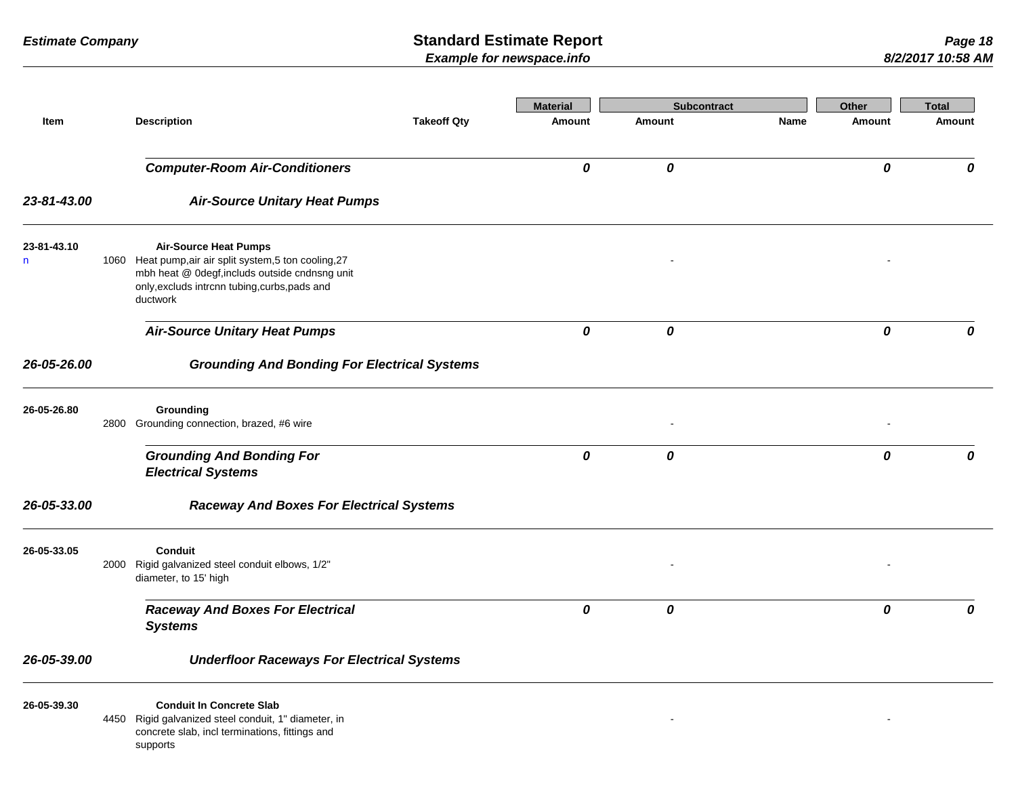|                  |                                                                                                                                                                                                        |                    | <b>Material</b> | <b>Subcontract</b> |             | Other  | <b>Total</b> |
|------------------|--------------------------------------------------------------------------------------------------------------------------------------------------------------------------------------------------------|--------------------|-----------------|--------------------|-------------|--------|--------------|
| Item             | <b>Description</b>                                                                                                                                                                                     | <b>Takeoff Qty</b> | <b>Amount</b>   | Amount             | <b>Name</b> | Amount | Amount       |
|                  | <b>Computer-Room Air-Conditioners</b>                                                                                                                                                                  |                    | 0               | 0                  |             | 0      | 0            |
| 23-81-43.00      | <b>Air-Source Unitary Heat Pumps</b>                                                                                                                                                                   |                    |                 |                    |             |        |              |
| 23-81-43.10<br>n | <b>Air-Source Heat Pumps</b><br>1060 Heat pump, air air split system, 5 ton cooling, 27<br>mbh heat @ 0degf, includs outside cndnsng unit<br>only, excluds intrcnn tubing, curbs, pads and<br>ductwork |                    |                 |                    |             |        |              |
|                  | <b>Air-Source Unitary Heat Pumps</b>                                                                                                                                                                   |                    | 0               | 0                  |             | 0      | 0            |
| 26-05-26.00      | <b>Grounding And Bonding For Electrical Systems</b>                                                                                                                                                    |                    |                 |                    |             |        |              |
| 26-05-26.80      | Grounding<br>2800 Grounding connection, brazed, #6 wire                                                                                                                                                |                    |                 |                    |             |        |              |
|                  | <b>Grounding And Bonding For</b><br><b>Electrical Systems</b>                                                                                                                                          |                    | 0               | 0                  |             | 0      | 0            |
| 26-05-33.00      | <b>Raceway And Boxes For Electrical Systems</b>                                                                                                                                                        |                    |                 |                    |             |        |              |
| 26-05-33.05      | <b>Conduit</b><br>2000 Rigid galvanized steel conduit elbows, 1/2"<br>diameter, to 15' high                                                                                                            |                    |                 |                    |             |        |              |
|                  | <b>Raceway And Boxes For Electrical</b><br><b>Systems</b>                                                                                                                                              |                    | 0               | 0                  |             | 0      | 0            |
| 26-05-39.00      | <b>Underfloor Raceways For Electrical Systems</b>                                                                                                                                                      |                    |                 |                    |             |        |              |
| 26-05-39.30      | <b>Conduit In Concrete Slab</b><br>4450 Rigid galvanized steel conduit, 1" diameter, in<br>concrete slab, incl terminations, fittings and<br>supports                                                  |                    |                 |                    |             |        |              |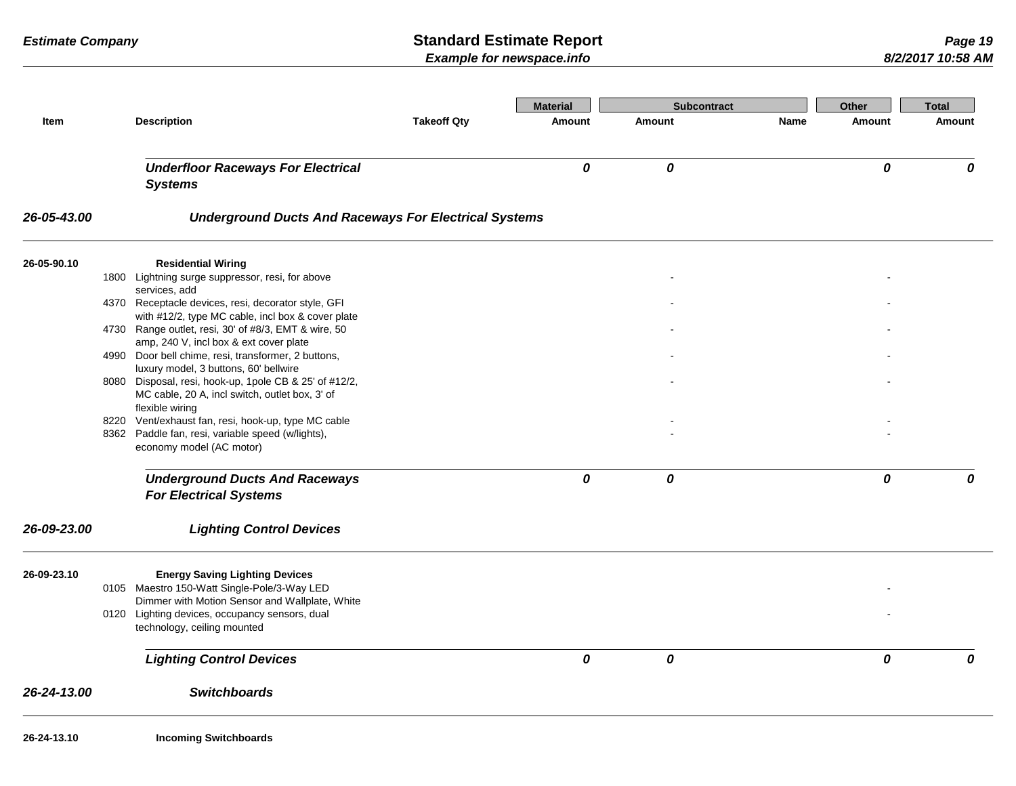| Item        | <b>Description</b>                                                                                                                                      | <b>Takeoff Qty</b> | <b>Material</b><br><b>Amount</b> | <b>Subcontract</b><br>Amount | Name | <b>Other</b><br><b>Amount</b> | <b>Total</b><br>Amount |
|-------------|---------------------------------------------------------------------------------------------------------------------------------------------------------|--------------------|----------------------------------|------------------------------|------|-------------------------------|------------------------|
|             |                                                                                                                                                         |                    |                                  |                              |      |                               |                        |
|             | <b>Underfloor Raceways For Electrical</b>                                                                                                               |                    | 0                                | 0                            |      | 0                             | 0                      |
|             | <b>Systems</b>                                                                                                                                          |                    |                                  |                              |      |                               |                        |
| 26-05-43.00 | <b>Underground Ducts And Raceways For Electrical Systems</b>                                                                                            |                    |                                  |                              |      |                               |                        |
| 26-05-90.10 | <b>Residential Wiring</b>                                                                                                                               |                    |                                  |                              |      |                               |                        |
|             | 1800 Lightning surge suppressor, resi, for above<br>services, add                                                                                       |                    |                                  |                              |      |                               |                        |
|             | 4370 Receptacle devices, resi, decorator style, GFI<br>with #12/2, type MC cable, incl box & cover plate                                                |                    |                                  |                              |      |                               |                        |
|             | 4730 Range outlet, resi, 30' of #8/3, EMT & wire, 50                                                                                                    |                    |                                  |                              |      |                               |                        |
|             | amp, 240 V, incl box & ext cover plate<br>4990 Door bell chime, resi, transformer, 2 buttons,                                                           |                    |                                  |                              |      |                               |                        |
|             | luxury model, 3 buttons, 60' bellwire<br>8080 Disposal, resi, hook-up, 1pole CB & 25' of #12/2,<br>MC cable, 20 A, incl switch, outlet box, 3' of       |                    |                                  |                              |      |                               |                        |
|             | flexible wiring<br>8220 Vent/exhaust fan, resi, hook-up, type MC cable<br>8362 Paddle fan, resi, variable speed (w/lights),<br>economy model (AC motor) |                    |                                  |                              |      |                               |                        |
|             | <b>Underground Ducts And Raceways</b><br><b>For Electrical Systems</b>                                                                                  |                    | 0                                | 0                            |      | 0                             | 0                      |
| 26-09-23.00 | <b>Lighting Control Devices</b>                                                                                                                         |                    |                                  |                              |      |                               |                        |
| 26-09-23.10 | <b>Energy Saving Lighting Devices</b>                                                                                                                   |                    |                                  |                              |      |                               |                        |
|             | 0105 Maestro 150-Watt Single-Pole/3-Way LED<br>Dimmer with Motion Sensor and Wallplate, White                                                           |                    |                                  |                              |      |                               |                        |
|             | 0120 Lighting devices, occupancy sensors, dual<br>technology, ceiling mounted                                                                           |                    |                                  |                              |      |                               |                        |
|             | <b>Lighting Control Devices</b>                                                                                                                         |                    | 0                                | 0                            |      | 0                             | 0                      |
| 26-24-13.00 | <b>Switchboards</b>                                                                                                                                     |                    |                                  |                              |      |                               |                        |
| 26-24-13.10 | <b>Incoming Switchboards</b>                                                                                                                            |                    |                                  |                              |      |                               |                        |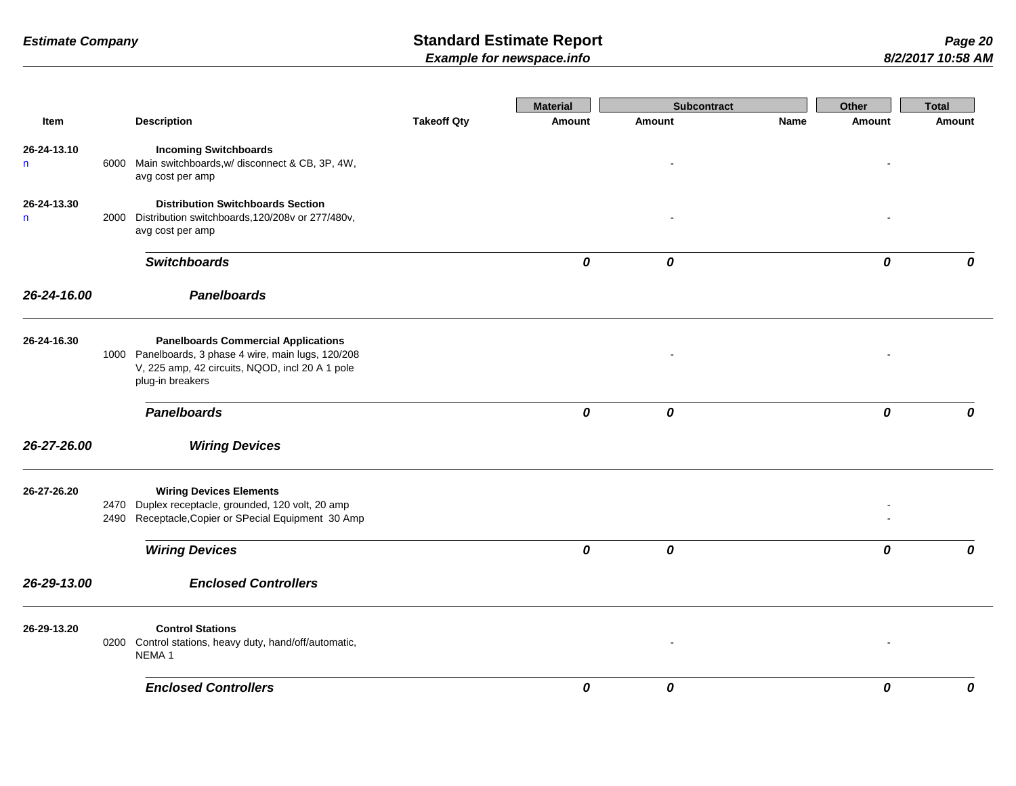|                   |      |                                                                                                                                                                           |                    | <b>Material</b> | <b>Subcontract</b> |      | Other  | <b>Total</b> |
|-------------------|------|---------------------------------------------------------------------------------------------------------------------------------------------------------------------------|--------------------|-----------------|--------------------|------|--------|--------------|
| Item              |      | <b>Description</b>                                                                                                                                                        | <b>Takeoff Qty</b> | Amount          | Amount             | Name | Amount | Amount       |
| 26-24-13.10<br>n  |      | <b>Incoming Switchboards</b><br>6000 Main switchboards, w/ disconnect & CB, 3P, 4W,<br>avg cost per amp                                                                   |                    |                 |                    |      |        |              |
| 26-24-13.30<br>n. |      | <b>Distribution Switchboards Section</b><br>2000 Distribution switchboards, 120/208v or 277/480v,<br>avg cost per amp                                                     |                    |                 |                    |      |        |              |
|                   |      | <b>Switchboards</b>                                                                                                                                                       |                    | 0               | 0                  |      | 0      | 0            |
| 26-24-16.00       |      | <b>Panelboards</b>                                                                                                                                                        |                    |                 |                    |      |        |              |
| 26-24-16.30       |      | <b>Panelboards Commercial Applications</b><br>1000 Panelboards, 3 phase 4 wire, main lugs, 120/208<br>V, 225 amp, 42 circuits, NQOD, incl 20 A 1 pole<br>plug-in breakers |                    |                 |                    |      |        |              |
|                   |      | <b>Panelboards</b>                                                                                                                                                        |                    | 0               | 0                  |      | 0      | 0            |
| 26-27-26.00       |      | <b>Wiring Devices</b>                                                                                                                                                     |                    |                 |                    |      |        |              |
| 26-27-26.20       | 2470 | <b>Wiring Devices Elements</b><br>Duplex receptacle, grounded, 120 volt, 20 amp<br>2490 Receptacle, Copier or SPecial Equipment 30 Amp                                    |                    |                 |                    |      |        |              |
|                   |      | <b>Wiring Devices</b>                                                                                                                                                     |                    | 0               | 0                  |      | 0      | 0            |
| 26-29-13.00       |      | <b>Enclosed Controllers</b>                                                                                                                                               |                    |                 |                    |      |        |              |
| 26-29-13.20       |      | <b>Control Stations</b><br>0200 Control stations, heavy duty, hand/off/automatic,<br>NEMA <sub>1</sub>                                                                    |                    |                 |                    |      |        |              |
|                   |      | <b>Enclosed Controllers</b>                                                                                                                                               |                    | 0               | 0                  |      | 0      | 0            |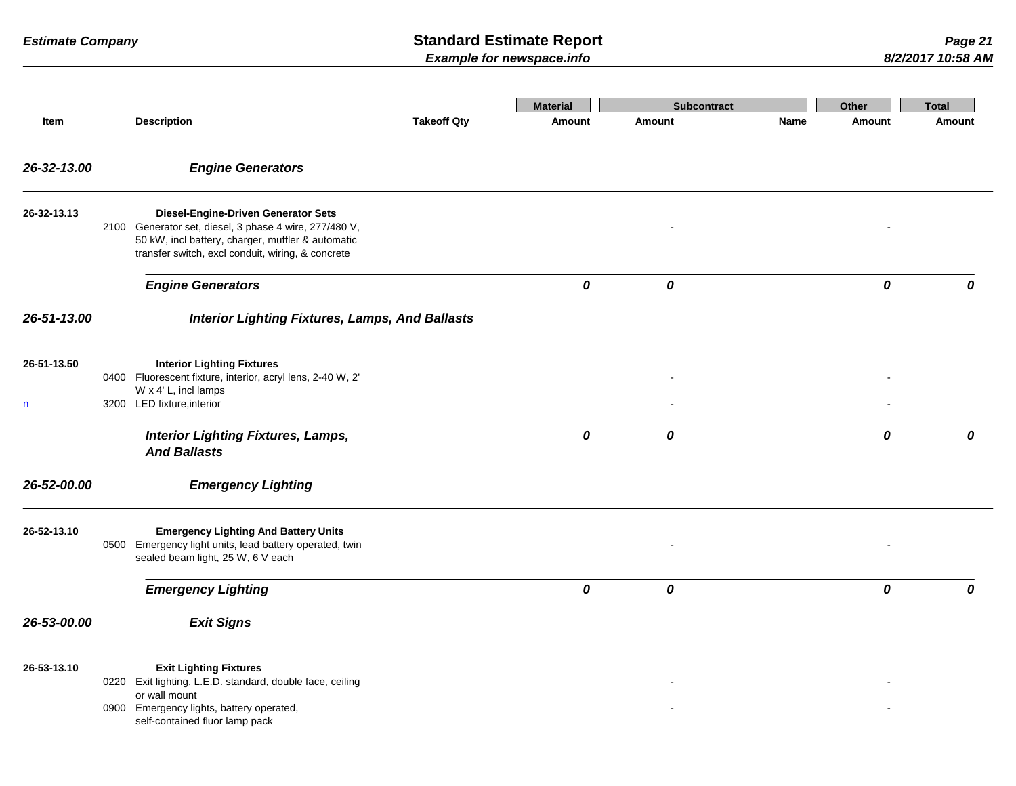|                  |      |                                                                                                                                                                                                                |                    | <b>Material</b> | <b>Subcontract</b> |      | Other  | <b>Total</b> |
|------------------|------|----------------------------------------------------------------------------------------------------------------------------------------------------------------------------------------------------------------|--------------------|-----------------|--------------------|------|--------|--------------|
| Item             |      | <b>Description</b>                                                                                                                                                                                             | <b>Takeoff Qty</b> | Amount          | <b>Amount</b>      | Name | Amount | Amount       |
| 26-32-13.00      |      | <b>Engine Generators</b>                                                                                                                                                                                       |                    |                 |                    |      |        |              |
| 26-32-13.13      |      | <b>Diesel-Engine-Driven Generator Sets</b><br>2100 Generator set, diesel, 3 phase 4 wire, 277/480 V,<br>50 kW, incl battery, charger, muffler & automatic<br>transfer switch, excl conduit, wiring, & concrete |                    |                 |                    |      |        |              |
|                  |      | <b>Engine Generators</b>                                                                                                                                                                                       |                    | 0               | 0                  |      | 0      | 0            |
| 26-51-13.00      |      | <b>Interior Lighting Fixtures, Lamps, And Ballasts</b>                                                                                                                                                         |                    |                 |                    |      |        |              |
| 26-51-13.50<br>n |      | <b>Interior Lighting Fixtures</b><br>0400 Fluorescent fixture, interior, acryl lens, 2-40 W, 2'<br>W x 4' L, incl lamps<br>3200 LED fixture, interior                                                          |                    |                 |                    |      |        |              |
|                  |      | <b>Interior Lighting Fixtures, Lamps,</b><br><b>And Ballasts</b>                                                                                                                                               |                    | 0               | 0                  |      | 0      | 0            |
| 26-52-00.00      |      | <b>Emergency Lighting</b>                                                                                                                                                                                      |                    |                 |                    |      |        |              |
| 26-52-13.10      | 0500 | <b>Emergency Lighting And Battery Units</b><br>Emergency light units, lead battery operated, twin<br>sealed beam light, 25 W, 6 V each                                                                         |                    |                 |                    |      |        |              |
|                  |      | <b>Emergency Lighting</b>                                                                                                                                                                                      |                    | 0               | 0                  |      | 0      | 0            |
| 26-53-00.00      |      | <b>Exit Signs</b>                                                                                                                                                                                              |                    |                 |                    |      |        |              |
| 26-53-13.10      |      | <b>Exit Lighting Fixtures</b><br>0220 Exit lighting, L.E.D. standard, double face, ceiling<br>or wall mount<br>0900 Emergency lights, battery operated,<br>self-contained fluor lamp pack                      |                    |                 |                    |      |        |              |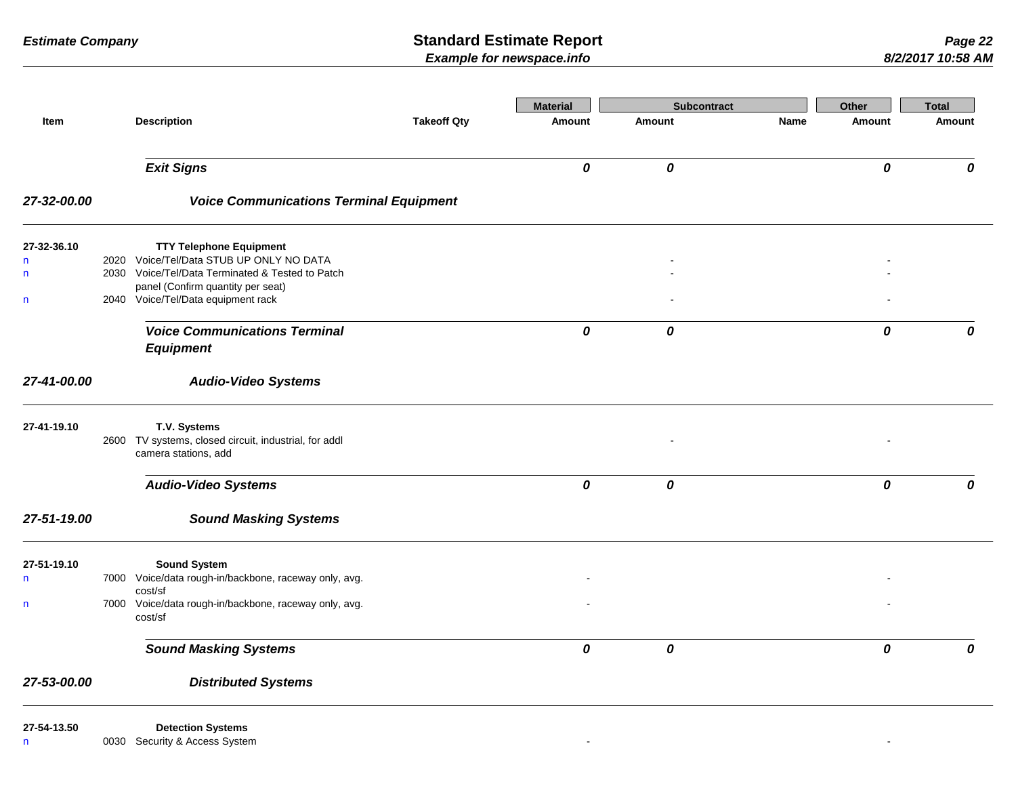|                              |                                                                                              |                    | <b>Material</b> | <b>Subcontract</b> |      | Other         | <b>Total</b> |
|------------------------------|----------------------------------------------------------------------------------------------|--------------------|-----------------|--------------------|------|---------------|--------------|
| Item                         | <b>Description</b>                                                                           | <b>Takeoff Qty</b> | Amount          | <b>Amount</b>      | Name | <b>Amount</b> | Amount       |
|                              | <b>Exit Signs</b>                                                                            |                    | $\pmb{o}$       | $\pmb{\mathit{o}}$ |      | 0             | 0            |
| 27-32-00.00                  | <b>Voice Communications Terminal Equipment</b>                                               |                    |                 |                    |      |               |              |
| 27-32-36.10                  | <b>TTY Telephone Equipment</b>                                                               |                    |                 |                    |      |               |              |
| $\mathsf{n}$<br>$\mathsf{n}$ | 2020 Voice/Tel/Data STUB UP ONLY NO DATA<br>2030 Voice/Tel/Data Terminated & Tested to Patch |                    |                 |                    |      |               |              |
|                              | panel (Confirm quantity per seat)                                                            |                    |                 |                    |      |               |              |
| n                            | 2040 Voice/Tel/Data equipment rack                                                           |                    |                 |                    |      |               |              |
|                              | <b>Voice Communications Terminal</b>                                                         |                    | 0               | 0                  |      | 0             | 0            |
|                              | <b>Equipment</b>                                                                             |                    |                 |                    |      |               |              |
| 27-41-00.00                  | <b>Audio-Video Systems</b>                                                                   |                    |                 |                    |      |               |              |
| 27-41-19.10                  | T.V. Systems                                                                                 |                    |                 |                    |      |               |              |
|                              | 2600 TV systems, closed circuit, industrial, for addl<br>camera stations, add                |                    |                 |                    |      |               |              |
|                              | <b>Audio-Video Systems</b>                                                                   |                    | 0               | 0                  |      | 0             | 0            |
| 27-51-19.00                  | <b>Sound Masking Systems</b>                                                                 |                    |                 |                    |      |               |              |
| 27-51-19.10                  | <b>Sound System</b>                                                                          |                    |                 |                    |      |               |              |
| $\mathsf{n}$                 | 7000 Voice/data rough-in/backbone, raceway only, avg.<br>cost/sf                             |                    |                 |                    |      |               |              |
| n                            | 7000 Voice/data rough-in/backbone, raceway only, avg.<br>cost/sf                             |                    |                 |                    |      |               |              |
|                              | <b>Sound Masking Systems</b>                                                                 |                    | 0               | $\pmb{o}$          |      | 0             | 0            |
| 27-53-00.00                  | <b>Distributed Systems</b>                                                                   |                    |                 |                    |      |               |              |
| 27-54-13.50                  | <b>Detection Systems</b>                                                                     |                    |                 |                    |      |               |              |
| n                            | 0030 Security & Access System                                                                |                    |                 |                    |      |               |              |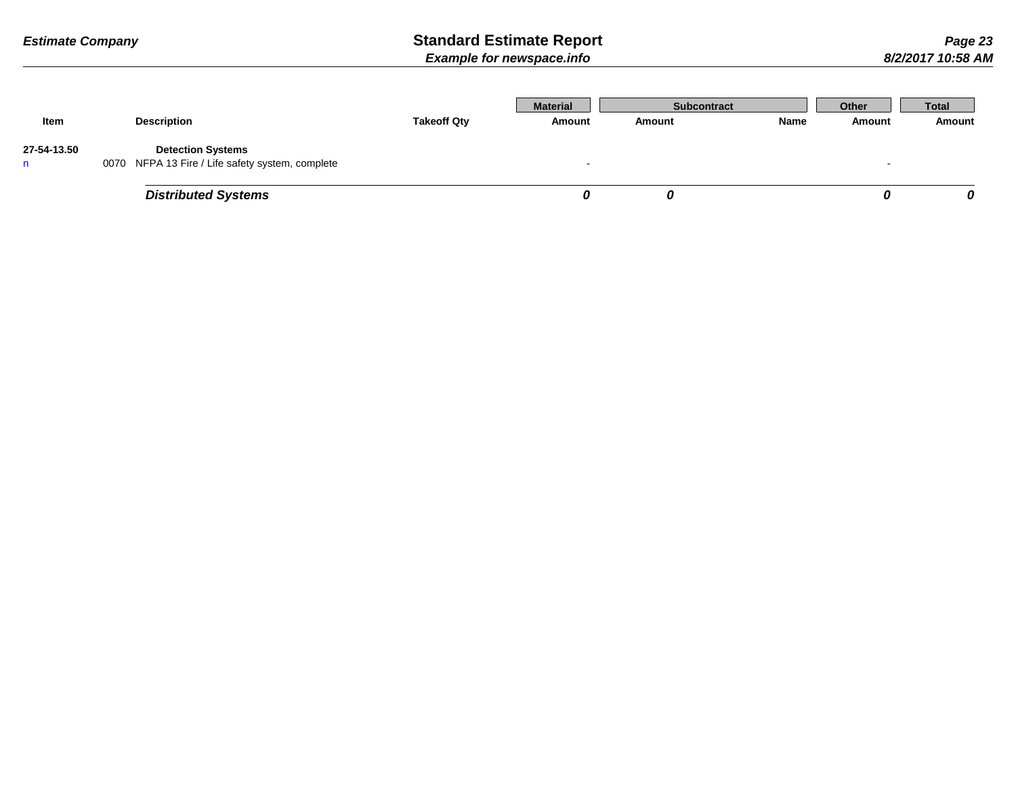|             |                                                  |                    | <b>Material</b> | <b>Subcontract</b> |      | Other  | <b>Total</b> |
|-------------|--------------------------------------------------|--------------------|-----------------|--------------------|------|--------|--------------|
| Item        | <b>Description</b>                               | <b>Takeoff Qty</b> | Amount          | Amount             | Name | Amount | Amount       |
| 27-54-13.50 | <b>Detection Systems</b>                         |                    |                 |                    |      |        |              |
|             | 0070 NFPA 13 Fire / Life safety system, complete |                    |                 |                    |      |        |              |
|             | <b>Distributed Systems</b>                       |                    |                 |                    |      |        | 0            |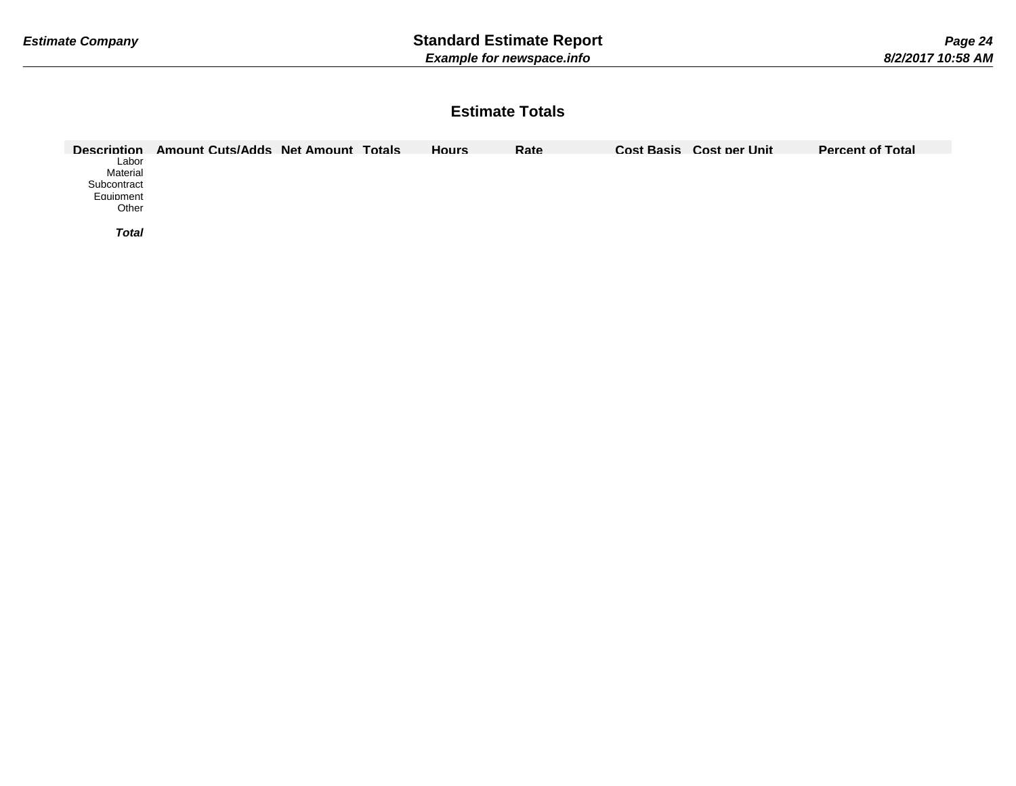## **Estimate Totals**

| <b>Description</b> | Amount Cuts/Adds Net Amount Totals |  | Hours | Rate | Cost Basis Cost per Unit | <b>Percent of Total</b> |
|--------------------|------------------------------------|--|-------|------|--------------------------|-------------------------|
| Labor              |                                    |  |       |      |                          |                         |
| Material           |                                    |  |       |      |                          |                         |
| Subcontract        |                                    |  |       |      |                          |                         |
| Equipment          |                                    |  |       |      |                          |                         |
| Other              |                                    |  |       |      |                          |                         |
|                    |                                    |  |       |      |                          |                         |
| <b>Total</b>       |                                    |  |       |      |                          |                         |